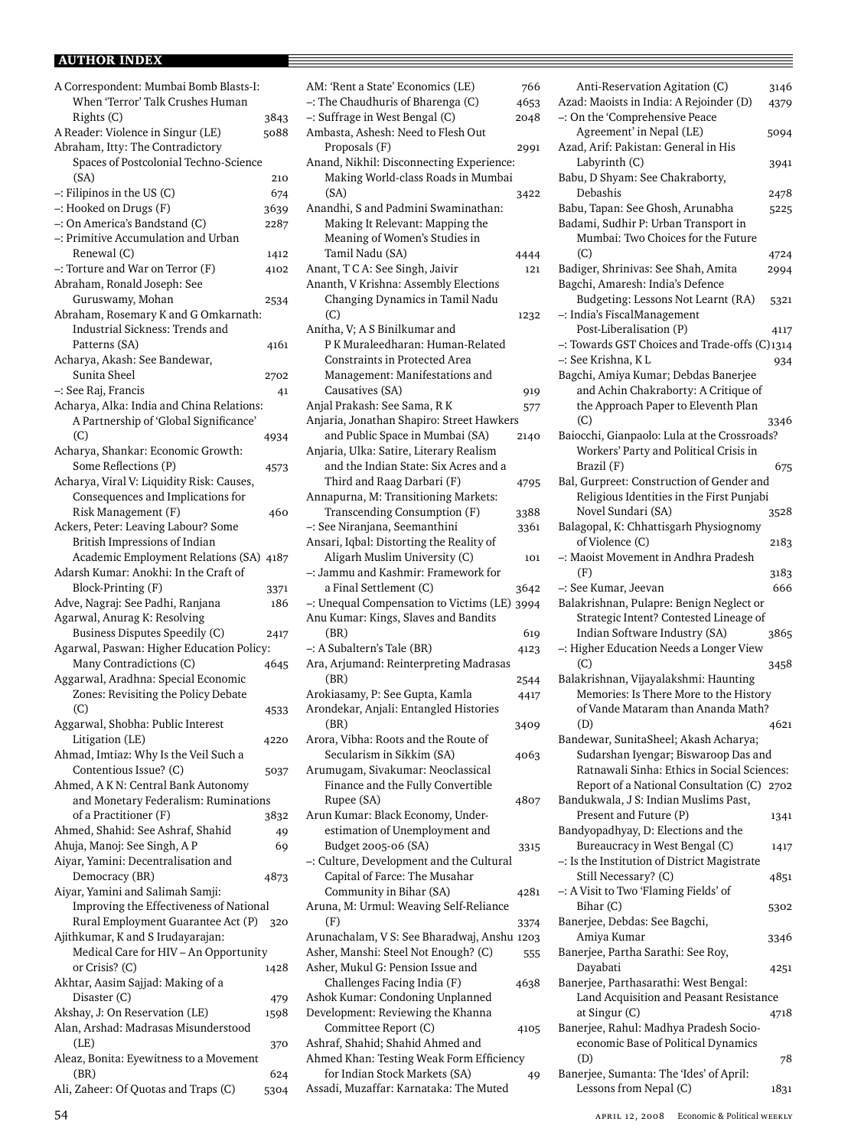## **AUTHOR INDEX**

| A Correspondent: Mumbai Bomb Blasts-I:       |      |
|----------------------------------------------|------|
| When 'Terror' Talk Crushes Human             |      |
| Rights (C)                                   | 3843 |
| A Reader: Violence in Singur (LE)            | 5088 |
| Abraham, Itty: The Contradictory             |      |
| Spaces of Postcolonial Techno-Science        |      |
| (SA)                                         | 210  |
| $-$ : Filipinos in the US (C)                | 674  |
| -: Hooked on Drugs (F)                       | 3639 |
| -: On America's Bandstand (C)                | 2287 |
| -: Primitive Accumulation and Urban          |      |
| Renewal (C)                                  | 1412 |
| -: Torture and War on Terror (F)             | 4102 |
| Abraham, Ronald Joseph: See                  |      |
| Guruswamy, Mohan                             | 2534 |
| Abraham, Rosemary K and G Omkarnath:         |      |
| Industrial Sickness: Trends and              |      |
| Patterns (SA)                                | 4161 |
| Acharya, Akash: See Bandewar,                |      |
| Sunita Sheel                                 | 2702 |
| -: See Raj, Francis                          |      |
| Acharya, Alka: India and China Relations:    | 41   |
|                                              |      |
| A Partnership of 'Global Significance'       |      |
| (C)                                          | 4934 |
| Acharya, Shankar: Economic Growth:           |      |
| Some Reflections (P)                         | 4573 |
| Acharya, Viral V: Liquidity Risk: Causes,    |      |
| Consequences and Implications for            |      |
| Risk Management (F)                          | 460  |
| Ackers, Peter: Leaving Labour? Some          |      |
| British Impressions of Indian                |      |
| Academic Employment Relations (SA) 4187      |      |
| Adarsh Kumar: Anokhi: In the Craft of        |      |
|                                              |      |
| Block-Printing (F)                           | 3371 |
| Adve, Nagraj: See Padhi, Ranjana             | 186  |
| Agarwal, Anurag K: Resolving                 |      |
| Business Disputes Speedily (C)               | 2417 |
| Agarwal, Paswan: Higher Education Policy:    |      |
| Many Contradictions (C)                      |      |
| Aggarwal, Aradhna: Special Economic          | 4645 |
| Zones: Revisiting the Policy Debate          |      |
| (C)                                          |      |
|                                              | 4533 |
| Aggarwal, Shobha: Public Interest            |      |
| Litigation (LE)                              | 4220 |
| Ahmad, Imtiaz: Why Is the Veil Such a        |      |
| Contentious Issue? (C)                       | 5037 |
| Ahmed, A K N: Central Bank Autonomy          |      |
| and Monetary Federalism: Ruminations         |      |
| of a Practitioner (F)                        | 3832 |
| Ahmed, Shahid: See Ashraf, Shahid            | 49   |
| Ahuja, Manoj: See Singh, A P                 | 69   |
| Aiyar, Yamini: Decentralisation and          |      |
| Democracy (BR)                               | 4873 |
| Aiyar, Yamini and Salimah Samji:             |      |
| Improving the Effectiveness of National      |      |
| Rural Employment Guarantee Act (P)           | 320  |
| Ajithkumar, K and S Irudayarajan:            |      |
| Medical Care for HIV - An Opportunity        |      |
| or Crisis? (C)                               | 1428 |
| Akhtar, Aasim Sajjad: Making of a            |      |
| Disaster (C)                                 | 479  |
| Akshay, J: On Reservation (LE)               | 1598 |
| Alan, Arshad: Madrasas Misunderstood         |      |
| (LE)                                         | 370  |
| Aleaz, Bonita: Eyewitness to a Movement      |      |
| (BR)<br>Ali, Zaheer: Of Quotas and Traps (C) | 624  |

| AM: 'Rent a State' Economics (LE)                                              | 766        |
|--------------------------------------------------------------------------------|------------|
| -: The Chaudhuris of Bharenga (C)                                              | 4653       |
| -: Suffrage in West Bengal (C)                                                 | 2048       |
| Ambasta, Ashesh: Need to Flesh Out                                             |            |
| Proposals (F)                                                                  | 2991       |
| Anand, Nikhil: Disconnecting Experience:<br>Making World-class Roads in Mumbai |            |
| (SA)                                                                           |            |
| Anandhi, S and Padmini Swaminathan:                                            | 3422       |
| Making It Relevant: Mapping the                                                |            |
| Meaning of Women's Studies in                                                  |            |
| Tamil Nadu (SA)                                                                | 4444       |
| Anant, T C A: See Singh, Jaivir                                                | 121        |
| Ananth, V Krishna: Assembly Elections                                          |            |
| Changing Dynamics in Tamil Nadu                                                |            |
| (C)                                                                            | 1232       |
| Anitha, V; A S Binilkumar and                                                  |            |
| PK Muraleedharan: Human-Related                                                |            |
| Constraints in Protected Area                                                  |            |
| Management: Manifestations and<br>Causatives (SA)                              |            |
| Anjal Prakash: See Sama, RK                                                    | 919<br>577 |
| Anjaria, Jonathan Shapiro: Street Hawkers                                      |            |
| and Public Space in Mumbai (SA)                                                | 2140       |
| Anjaria, Ulka: Satire, Literary Realism                                        |            |
| and the Indian State: Six Acres and a                                          |            |
| Third and Raag Darbari (F)                                                     | 4795       |
| Annapurna, M: Transitioning Markets:                                           |            |
| Transcending Consumption (F)                                                   | 3388       |
| -: See Niranjana, Seemanthini                                                  | 3361       |
| Ansari, Iqbal: Distorting the Reality of                                       |            |
| Aligarh Muslim University (C)<br>-: Jammu and Kashmir: Framework for           | 101        |
| a Final Settlement (C)                                                         | 3642       |
| -: Unequal Compensation to Victims (LE)                                        | 3994       |
| Anu Kumar: Kings, Slaves and Bandits                                           |            |
| (BR)                                                                           | 619        |
| -: A Subaltern's Tale (BR)                                                     | 4123       |
| Ara, Arjumand: Reinterpreting Madrasas                                         |            |
| (BR)                                                                           | 2544       |
| Arokiasamy, P: See Gupta, Kamla                                                | 4417       |
| Arondekar, Anjali: Entangled Histories                                         |            |
| (BR)                                                                           | 3409       |
| Arora, Vibha: Roots and the Route of<br>Secularism in Sikkim (SA)              | 4063       |
| Arumugam, Sivakumar: Neoclassical                                              |            |
| Finance and the Fully Convertible                                              |            |
| Rupee (SA)                                                                     | 4807       |
| Arun Kumar: Black Economy, Under-                                              |            |
| estimation of Unemployment and                                                 |            |
| Budget 2005-06 (SA)                                                            | 3315       |
| -: Culture, Development and the Cultural                                       |            |
| Capital of Farce: The Musahar                                                  |            |
| Community in Bihar (SA)<br>Aruna, M: Urmul: Weaving Self-Reliance              | 4281       |
| (F)                                                                            |            |
| Arunachalam, V S: See Bharadwaj, Anshu 1203                                    | 3374       |
| Asher, Manshi: Steel Not Enough? (C)                                           | 555        |
| Asher, Mukul G: Pension Issue and                                              |            |
| Challenges Facing India (F)                                                    | 4638       |
| Ashok Kumar: Condoning Unplanned                                               |            |
| Development: Reviewing the Khanna                                              |            |
| Committee Report (C)                                                           | 4105       |
| Ashraf, Shahid; Shahid Ahmed and                                               |            |
| Ahmed Khan: Testing Weak Form Efficiency<br>for Indian Stock Markets (SA)      |            |
| Assadi, Muzaffar: Karnataka: The Muted                                         | 49         |
|                                                                                |            |

| Anti-Reservation Agitation (C)                                    | 3146 |
|-------------------------------------------------------------------|------|
| Azad: Maoists in India: A Rejoinder (D)                           | 4379 |
| -: On the 'Comprehensive Peace                                    |      |
| Agreement' in Nepal (LE)                                          | 5094 |
| Azad, Arif: Pakistan: General in His                              |      |
| Labyrinth (C)                                                     | 3941 |
| Babu, D Shyam: See Chakraborty,                                   |      |
| Debashis                                                          | 2478 |
|                                                                   |      |
| Babu, Tapan: See Ghosh, Arunabha                                  | 5225 |
| Badami, Sudhir P: Urban Transport in                              |      |
| Mumbai: Two Choices for the Future                                |      |
| (C)                                                               | 4724 |
| Badiger, Shrinivas: See Shah, Amita                               | 2994 |
| Bagchi, Amaresh: India's Defence                                  |      |
| Budgeting: Lessons Not Learnt (RA)                                | 5321 |
| -: India's FiscalManagement                                       |      |
| Post-Liberalisation (P)                                           | 4117 |
| -: Towards GST Choices and Trade-offs (C)1314                     |      |
| –: See Krishna, K L                                               | 934  |
| Bagchi, Amiya Kumar; Debdas Banerjee                              |      |
| and Achin Chakraborty: A Critique of                              |      |
|                                                                   |      |
| the Approach Paper to Eleventh Plan                               |      |
| (C)                                                               | 3346 |
| Baiocchi, Gianpaolo: Lula at the Crossroads?                      |      |
| Workers' Party and Political Crisis in                            |      |
| Brazil (F)                                                        | 675  |
| Bal, Gurpreet: Construction of Gender and                         |      |
| Religious Identities in the First Punjabi                         |      |
| Novel Sundari (SA)                                                | 3528 |
| Balagopal, K: Chhattisgarh Physiognomy                            |      |
| of Violence (C)                                                   | 2183 |
| -: Maoist Movement in Andhra Pradesh                              |      |
| (F)                                                               | 3183 |
|                                                                   |      |
|                                                                   |      |
| -: See Kumar, Jeevan                                              | 666  |
| Balakrishnan, Pulapre: Benign Neglect or                          |      |
| Strategic Intent? Contested Lineage of                            |      |
| Indian Software Industry (SA)                                     | 3865 |
| -: Higher Education Needs a Longer View                           |      |
| (C)                                                               | 3458 |
| Balakrishnan, Vijayalakshmi: Haunting                             |      |
| Memories: Is There More to the History                            |      |
| of Vande Mataram than Ananda Math?                                |      |
| (D)                                                               | 4621 |
|                                                                   |      |
| Bandewar, SunitaSheel; Akash Acharya;                             |      |
| Sudarshan Iyengar; Biswaroop Das and                              |      |
| Ratnawali Sinha: Ethics in Social Sciences:                       |      |
| Report of a National Consultation (C)                             | 2702 |
| Bandukwala, J S: Indian Muslims Past,                             |      |
| Present and Future (P)                                            | 1341 |
| Bandyopadhyay, D: Elections and the                               |      |
| Bureaucracy in West Bengal (C)                                    | 1417 |
| -: Is the Institution of District Magistrate                      |      |
| Still Necessary? (C)                                              | 4851 |
| -: A Visit to Two 'Flaming Fields' of                             |      |
| Bihar (C)                                                         | 5302 |
|                                                                   |      |
| Banerjee, Debdas: See Bagchi,                                     |      |
| Amiya Kumar                                                       | 3346 |
| Banerjee, Partha Sarathi: See Roy,                                |      |
| Dayabati                                                          | 4251 |
| Banerjee, Parthasarathi: West Bengal:                             |      |
| Land Acquisition and Peasant Resistance                           |      |
| at Singur (C)                                                     | 4718 |
| Banerjee, Rahul: Madhya Pradesh Socio-                            |      |
| economic Base of Political Dynamics                               |      |
| (D)                                                               | 78   |
| Banerjee, Sumanta: The 'Ides' of April:<br>Lessons from Nepal (C) | 1831 |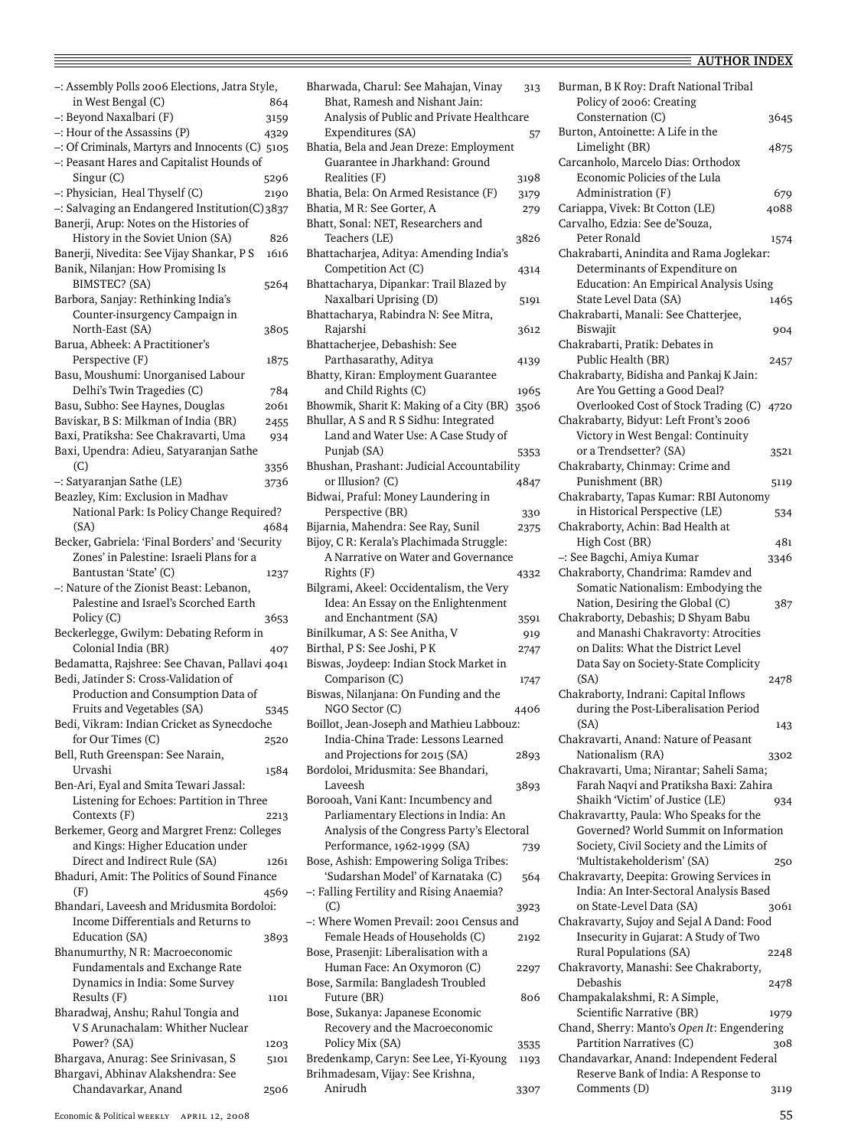| -: Assembly Polls 2006 Elections, Jatra Style,                                              |      |
|---------------------------------------------------------------------------------------------|------|
| in West Bengal (C)                                                                          | 864  |
| -: Beyond Naxalbari (F)                                                                     | 3159 |
| -: Hour of the Assassins (P)                                                                | 4329 |
| -: Of Criminals, Martyrs and Innocents (C) 5105                                             |      |
| -: Peasant Hares and Capitalist Hounds of<br>Singur (C)                                     | 5296 |
| -: Physician, Heal Thyself (C)                                                              | 2190 |
| -: Salvaging an Endangered Institution(C)3837                                               |      |
| Banerji, Arup: Notes on the Histories of                                                    |      |
| History in the Soviet Union (SA)                                                            | 826  |
| Banerji, Nivedita: See Vijay Shankar, P S                                                   | 1616 |
| Banik, Nilanjan: How Promising Is                                                           |      |
| BIMSTEC? (SA)                                                                               | 5264 |
| Barbora, Sanjay: Rethinking India's                                                         |      |
| Counter-insurgency Campaign in                                                              |      |
| North-East (SA)                                                                             | 3805 |
| Barua, Abheek: A Practitioner's<br>Perspective (F)                                          |      |
| Basu, Moushumi: Unorganised Labour                                                          | 1875 |
| Delhi's Twin Tragedies (C)                                                                  | 784  |
| Basu, Subho: See Haynes, Douglas                                                            | 2061 |
| Baviskar, B S: Milkman of India (BR)                                                        | 2455 |
| Baxi, Pratiksha: See Chakravarti, Uma                                                       | 934  |
| Baxi, Upendra: Adieu, Satyaranjan Sathe                                                     |      |
| (C)                                                                                         | 3356 |
| -: Satyaranjan Sathe (LE)                                                                   | 3736 |
| Beazley, Kim: Exclusion in Madhav                                                           |      |
| National Park: Is Policy Change Required?                                                   |      |
| (SA)                                                                                        | 4684 |
| Becker, Gabriela: 'Final Borders' and 'Security<br>Zones' in Palestine: Israeli Plans for a |      |
| Bantustan 'State' (C)                                                                       | 1237 |
| -: Nature of the Zionist Beast: Lebanon,                                                    |      |
| Palestine and Israel's Scorched Earth                                                       |      |
| Policy (C)                                                                                  | 3653 |
| Beckerlegge, Gwilym: Debating Reform in                                                     |      |
| Colonial India (BR)                                                                         | 407  |
| Bedamatta, Rajshree: See Chavan, Pallavi 4041                                               |      |
| Bedi, Jatinder S: Cross-Validation of                                                       |      |
| Production and Consumption Data of                                                          |      |
| Fruits and Vegetables (SA)<br>Bedi, Vikram: Indian Cricket as Synecdoche                    | 5345 |
| for Our Times (C)                                                                           | 2520 |
| Bell, Ruth Greenspan: See Narain,                                                           |      |
| Urvashi                                                                                     | 1584 |
| Ben-Ari, Eyal and Smita Tewari Jassal:                                                      |      |
| Listening for Echoes: Partition in Three                                                    |      |
| Contexts (F)                                                                                | 2213 |
| Berkemer, Georg and Margret Frenz: Colleges                                                 |      |
| and Kings: Higher Education under                                                           |      |
| Direct and Indirect Rule (SA)                                                               | 1261 |
| Bhaduri, Amit: The Politics of Sound Finance                                                |      |
| (F)<br>Bhandari, Laveesh and Mridusmita Bordoloi:                                           | 4569 |
| Income Differentials and Returns to                                                         |      |
| Education (SA)                                                                              | 3893 |
| Bhanumurthy, N R: Macroeconomic                                                             |      |
| Fundamentals and Exchange Rate                                                              |      |
| Dynamics in India: Some Survey                                                              |      |
| Results (F)                                                                                 | 1101 |
| Bharadwaj, Anshu; Rahul Tongia and                                                          |      |
| V S Arunachalam: Whither Nuclear                                                            |      |
| Power? (SA)                                                                                 | 1203 |
| Bhargava, Anurag: See Srinivasan, S                                                         | 5101 |
| Bhargavi, Abhinav Alakshendra: See<br>Chandavarkar, Anand                                   | 2506 |
|                                                                                             |      |

≣

| Bharwada, Charul: See Mahajan, Vinay                              | 313  |
|-------------------------------------------------------------------|------|
| Bhat, Ramesh and Nishant Jain:                                    |      |
| Analysis of Public and Private Healthcare                         |      |
| Expenditures (SA)                                                 | 57   |
| Bhatia, Bela and Jean Dreze: Employment                           |      |
| Guarantee in Jharkhand: Ground                                    |      |
| Realities (F)                                                     | 3198 |
| Bhatia, Bela: On Armed Resistance (F)                             | 3179 |
| Bhatia, M R: See Gorter, A                                        | 279  |
| Bhatt, Sonal: NET, Researchers and                                |      |
| Teachers (LE)                                                     | 3826 |
| Bhattacharjea, Aditya: Amending India's                           |      |
| Competition Act (C)                                               | 4314 |
| Bhattacharya, Dipankar: Trail Blazed by                           |      |
| Naxalbari Uprising (D)                                            | 5191 |
| Bhattacharya, Rabindra N: See Mitra,                              |      |
| Rajarshi                                                          | 3612 |
| Bhattacherjee, Debashish: See                                     |      |
| Parthasarathy, Aditya                                             | 4139 |
| Bhatty, Kiran: Employment Guarantee                               |      |
| and Child Rights (C)                                              | 1965 |
| Bhowmik, Sharit K: Making of a City (BR)                          | 3506 |
| Bhullar, A S and R S Sidhu: Integrated                            |      |
| Land and Water Use: A Case Study of                               |      |
| Punjab (SA)                                                       | 5353 |
| Bhushan, Prashant: Judicial Accountability                        |      |
| or Illusion? (C)                                                  | 4847 |
| Bidwai, Praful: Money Laundering in                               |      |
| Perspective (BR)                                                  | 330  |
| Bijarnia, Mahendra: See Ray, Sunil                                | 2375 |
| Bijoy, CR: Kerala's Plachimada Struggle:                          |      |
| A Narrative on Water and Governance                               |      |
| RightS(F)                                                         | 4332 |
| Bilgrami, Akeel: Occidentalism, the Very                          |      |
| Idea: An Essay on the Enlightenment                               |      |
| and Enchantment (SA)                                              | 3591 |
| Binilkumar, A S: See Anitha, V                                    | 919  |
| Birthal, P S: See Joshi, P K                                      | 2747 |
| Biswas, Joydeep: Indian Stock Market in                           |      |
| Comparison (C)                                                    | 1747 |
| Biswas, Nilanjana: On Funding and the                             |      |
| NGO Sector (C)                                                    | 4406 |
| Boillot, Jean-Joseph and Mathieu Labbouz:                         |      |
| India-China Trade: Lessons Learned                                |      |
| and Projections for 2015 (SA)                                     | 2893 |
| Bordoloi, Mridusmita: See Bhandari,                               |      |
| Laveesh                                                           | 3893 |
| Borooah, Vani Kant: Incumbency and                                |      |
| Parliamentary Elections in India: An                              |      |
| Analysis of the Congress Party's Electoral                        |      |
| Performance, 1962-1999 (SA)                                       |      |
| Bose, Ashish: Empowering Soliga Tribes:                           | 739  |
|                                                                   |      |
| 'Sudarshan Model' of Karnataka (C)                                | 564  |
| -: Falling Fertility and Rising Anaemia?                          |      |
| (C)                                                               | 3923 |
| -: Where Women Prevail: 2001 Census and                           |      |
| Female Heads of Households (C)                                    | 2192 |
| Bose, Prasenjit: Liberalisation with a                            |      |
|                                                                   | 2297 |
| Human Face: An Oxymoron (C)<br>Bose, Sarmila: Bangladesh Troubled |      |
| Future (BR)                                                       | 806  |
| Bose, Sukanya: Japanese Economic                                  |      |
| Recovery and the Macroeconomic                                    |      |
| Policy Mix (SA)                                                   | 3535 |
| Bredenkamp, Caryn: See Lee, Yi-Kyoung                             | 1193 |
| Brihmadesam, Vijay: See Krishna,                                  |      |

| Burman, B K Roy: Draft National Tribal                                           |             |
|----------------------------------------------------------------------------------|-------------|
| Policy of 2006: Creating                                                         |             |
| Consternation (C)                                                                | 3645        |
| Burton, Antoinette: A Life in the                                                |             |
| Limelight (BR)                                                                   | 4875        |
| Carcanholo, Marcelo Dias: Orthodox                                               |             |
| Economic Policies of the Lula<br>Administration (F)                              |             |
| Cariappa, Vivek: Bt Cotton (LE)                                                  | 679<br>4088 |
| Carvalho, Edzia: See de'Souza,                                                   |             |
| Peter Ronald                                                                     | 1574        |
| Chakrabarti, Anindita and Rama Joglekar:                                         |             |
| Determinants of Expenditure on                                                   |             |
| Education: An Empirical Analysis Using                                           |             |
| State Level Data (SA)                                                            | 1465        |
| Chakrabarti, Manali: See Chatterjee,                                             |             |
| Biswajit                                                                         | 904         |
| Chakrabarti, Pratik: Debates in                                                  |             |
| Public Health (BR)                                                               | 2457        |
| Chakrabarty, Bidisha and Pankaj K Jain:                                          |             |
| Are You Getting a Good Deal?                                                     |             |
| Overlooked Cost of Stock Trading (C)                                             | 4720        |
| Chakrabarty, Bidyut: Left Front's 2006                                           |             |
| Victory in West Bengal: Continuity                                               |             |
| or a Trendsetter? (SA)                                                           | 3521        |
| Chakrabarty, Chinmay: Crime and<br>Punishment (BR)                               |             |
| Chakrabarty, Tapas Kumar: RBI Autonomy                                           | 5119        |
| in Historical Perspective (LE)                                                   |             |
| Chakraborty, Achin: Bad Health at                                                | 534         |
| High Cost (BR)                                                                   | 481         |
| -: See Bagchi, Amiya Kumar                                                       | 3346        |
| Chakraborty, Chandrima: Ramdev and                                               |             |
| Somatic Nationalism: Embodying the                                               |             |
| Nation, Desiring the Global (C)                                                  | 387         |
| Chakraborty, Debashis; D Shyam Babu                                              |             |
| and Manashi Chakravorty: Atrocities                                              |             |
| on Dalits: What the District Level                                               |             |
| Data Say on Society-State Complicity                                             |             |
| (SA)                                                                             | 2478        |
| Chakraborty, Indrani: Capital Inflows                                            |             |
| during the Post-Liberalisation Period<br>(SA)                                    |             |
|                                                                                  |             |
|                                                                                  | 143         |
| Chakravarti, Anand: Nature of Peasant                                            |             |
| Nationalism (RA)                                                                 | 3302        |
| Chakravarti, Uma; Nirantar; Saheli Sama;                                         |             |
| Farah Naqvi and Pratiksha Baxi: Zahira                                           |             |
| Shaikh 'Victim' of Justice (LE)                                                  | 934         |
| Chakravartty, Paula: Who Speaks for the                                          |             |
| Governed? World Summit on Information                                            |             |
| Society, Civil Society and the Limits of<br>'Multistakeholderism' (SA)           | 250         |
| Chakravarty, Deepita: Growing Services in                                        |             |
| India: An Inter-Sectoral Analysis Based                                          |             |
| on State-Level Data (SA)                                                         | 3061        |
| Chakravarty, Sujoy and Sejal A Dand: Food                                        |             |
| Insecurity in Gujarat: A Study of Two                                            |             |
| Rural Populations (SA)                                                           | 2248        |
| Chakravorty, Manashi: See Chakraborty,                                           |             |
| Debashis                                                                         | 2478        |
| Champakalakshmi, R: A Simple,                                                    |             |
| Scientific Narrative (BR)                                                        | 1979        |
| Chand, Sherry: Manto's Open It: Engendering                                      |             |
| Partition Narratives (C)                                                         | 308         |
| Chandavarkar, Anand: Independent Federal<br>Reserve Bank of India: A Response to |             |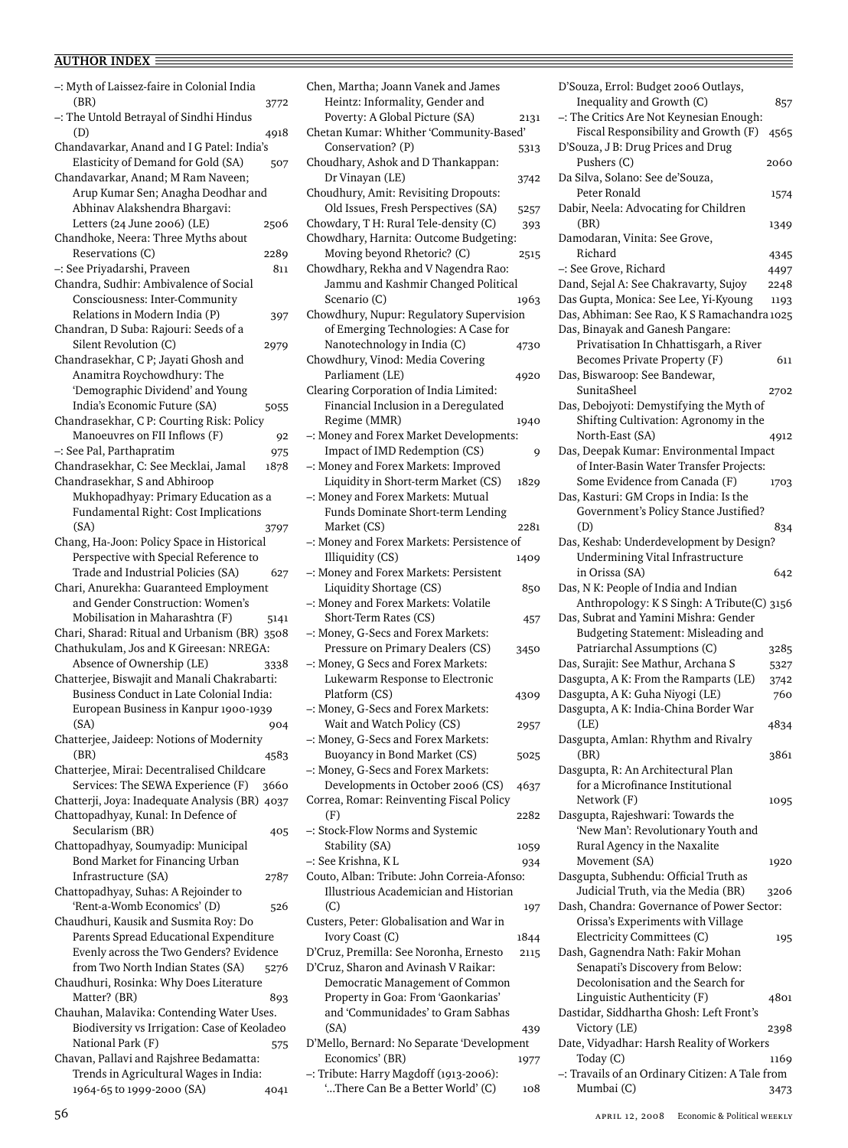| -: Myth of Laissez-faire in Colonial India                          |      |
|---------------------------------------------------------------------|------|
| (BR)                                                                | 3772 |
| -: The Untold Betrayal of Sindhi Hindus                             |      |
| (D)                                                                 |      |
|                                                                     | 4918 |
| Chandavarkar, Anand and I G Patel: India's                          |      |
| Elasticity of Demand for Gold (SA)                                  | 507  |
| Chandavarkar, Anand; M Ram Naveen;                                  |      |
| Arup Kumar Sen; Anagha Deodhar and                                  |      |
| Abhinav Alakshendra Bhargavi:                                       |      |
| Letters (24 June 2006) (LE)                                         | 2506 |
|                                                                     |      |
| Chandhoke, Neera: Three Myths about                                 |      |
| Reservations (C)                                                    | 2289 |
| -: See Priyadarshi, Praveen                                         | 811  |
| Chandra, Sudhir: Ambivalence of Social                              |      |
| Consciousness: Inter-Community                                      |      |
| Relations in Modern India (P)                                       |      |
|                                                                     | 397  |
| Chandran, D Suba: Rajouri: Seeds of a                               |      |
| Silent Revolution (C)                                               | 2979 |
| Chandrasekhar, C P; Jayati Ghosh and                                |      |
| Anamitra Roychowdhury: The                                          |      |
| 'Demographic Dividend' and Young                                    |      |
| India's Economic Future (SA)                                        |      |
|                                                                     | 5055 |
| Chandrasekhar, C P: Courting Risk: Policy                           |      |
| Manoeuvres on FII Inflows (F)                                       | 92   |
| –: See Pal, Parthapratim                                            | 975  |
| Chandrasekhar, C: See Mecklai, Jamal                                | 1878 |
| Chandrasekhar, S and Abhiroop                                       |      |
| Mukhopadhyay: Primary Education as a                                |      |
|                                                                     |      |
| Fundamental Right: Cost Implications                                |      |
| (SA)                                                                | 3797 |
| Chang, Ha-Joon: Policy Space in Historical                          |      |
| Perspective with Special Reference to                               |      |
| Trade and Industrial Policies (SA)                                  | 627  |
| Chari, Anurekha: Guaranteed Employment                              |      |
|                                                                     |      |
| and Gender Construction: Women's                                    |      |
| Mobilisation in Maharashtra (F)                                     | 5141 |
| Chari, Sharad: Ritual and Urbanism (BR) 3508                        |      |
| Chathukulam, Jos and K Gireesan: NREGA:                             |      |
| Absence of Ownership (LE)                                           | 3338 |
| Chatterjee, Biswajit and Manali Chakrabarti:                        |      |
| Business Conduct in Late Colonial India:                            |      |
|                                                                     |      |
| European Business in Kanpur 1900-1939                               |      |
| (SA)                                                                | 904  |
| Chatterjee, Jaideep: Notions of Modernity                           |      |
| (BR)                                                                | 4583 |
| Chatterjee, Mirai: Decentralised Childcare                          |      |
|                                                                     |      |
| Services: The SEWA Experience (F)                                   | 3660 |
| Chatterji, Joya: Inadequate Analysis (BR) 4037                      |      |
| Chattopadhyay, Kunal: In Defence of                                 |      |
| Secularism (BR)                                                     | 405  |
| Chattopadhyay, Soumyadip: Municipal                                 |      |
| Bond Market for Financing Urban                                     |      |
|                                                                     |      |
| Infrastructure (SA)                                                 | 2787 |
| Chattopadhyay, Suhas: A Rejoinder to                                |      |
| 'Rent-a-Womb Economics' (D)                                         | 526  |
| Chaudhuri, Kausik and Susmita Roy: Do                               |      |
| Parents Spread Educational Expenditure                              |      |
|                                                                     |      |
| Evenly across the Two Genders? Evidence                             |      |
| from Two North Indian States (SA)                                   | 5276 |
| Chaudhuri, Rosinka: Why Does Literature                             |      |
| Matter? (BR)                                                        | 893  |
| Chauhan, Malavika: Contending Water Uses.                           |      |
| Biodiversity vs Irrigation: Case of Keoladeo                        |      |
|                                                                     |      |
|                                                                     |      |
| National Park (F)                                                   | 575  |
| Chavan, Pallavi and Rajshree Bedamatta:                             |      |
| Trends in Agricultural Wages in India:<br>1964-65 to 1999-2000 (SA) |      |

| Chen, Martha; Joann Vanek and James                                                  |      |
|--------------------------------------------------------------------------------------|------|
| Heintz: Informality, Gender and                                                      |      |
| Poverty: A Global Picture (SA)                                                       | 2131 |
| Chetan Kumar: Whither 'Community-Based'                                              |      |
| Conservation? (P)                                                                    | 5313 |
| Choudhary, Ashok and D Thankappan:                                                   |      |
| Dr Vinayan (LE)                                                                      | 3742 |
| Choudhury, Amit: Revisiting Dropouts:                                                |      |
| Old Issues, Fresh Perspectives (SA)                                                  | 5257 |
| Chowdary, TH: Rural Tele-density (C)                                                 | 393  |
| Chowdhary, Harnita: Outcome Budgeting:                                               |      |
| Moving beyond Rhetoric? (C)                                                          | 2515 |
| Chowdhary, Rekha and V Nagendra Rao:                                                 |      |
| Jammu and Kashmir Changed Political                                                  |      |
| Scenario (C)                                                                         | 1963 |
| Chowdhury, Nupur: Regulatory Supervision                                             |      |
| of Emerging Technologies: A Case for                                                 |      |
| Nanotechnology in India (C)                                                          | 4730 |
| Chowdhury, Vinod: Media Covering                                                     |      |
| Parliament (LE)                                                                      | 4920 |
| Clearing Corporation of India Limited:                                               |      |
| Financial Inclusion in a Deregulated                                                 |      |
|                                                                                      |      |
| Regime (MMR)                                                                         | 1940 |
| -: Money and Forex Market Developments:                                              |      |
| Impact of IMD Redemption (CS)                                                        | 9    |
| -: Money and Forex Markets: Improved                                                 |      |
| Liquidity in Short-term Market (CS)                                                  | 1829 |
| -: Money and Forex Markets: Mutual                                                   |      |
| Funds Dominate Short-term Lending                                                    |      |
| Market (CS)                                                                          | 2281 |
| -: Money and Forex Markets: Persistence of                                           |      |
| Illiquidity (CS)                                                                     | 1409 |
|                                                                                      |      |
| -: Money and Forex Markets: Persistent                                               |      |
| Liquidity Shortage (CS)                                                              | 850  |
| -: Money and Forex Markets: Volatile                                                 |      |
| Short-Term Rates (CS)                                                                | 457  |
| -: Money, G-Secs and Forex Markets:                                                  |      |
| Pressure on Primary Dealers (CS)                                                     | 3450 |
| -: Money, G Secs and Forex Markets:                                                  |      |
| Lukewarm Response to Electronic                                                      |      |
| Platform (CS)                                                                        | 4309 |
| -: Money, G-Secs and Forex Markets:                                                  |      |
| Wait and Watch Policy (CS)                                                           | 2957 |
| -: Money, G-Secs and Forex Markets:                                                  |      |
| Buoyancy in Bond Market (CS)                                                         | 5025 |
| -: Money, G-Secs and Forex Markets:                                                  |      |
| Developments in October 2006 (CS)                                                    | 4637 |
| Correa, Romar: Reinventing Fiscal Policy                                             |      |
| (F)                                                                                  | 2282 |
| -: Stock-Flow Norms and Systemic                                                     |      |
| Stability (SA)                                                                       | 1059 |
| -: See Krishna, KL                                                                   | 934  |
|                                                                                      |      |
| Couto, Alban: Tribute: John Correia-Afonso:<br>Illustrious Academician and Historian |      |
| (C)                                                                                  |      |
|                                                                                      | 197  |
| Custers, Peter: Globalisation and War in                                             |      |
| Ivory Coast (C)                                                                      | 1844 |
| D'Cruz, Premilla: See Noronha, Ernesto                                               | 2115 |
| D'Cruz, Sharon and Avinash V Raikar:                                                 |      |
| Democratic Management of Common                                                      |      |
| Property in Goa: From 'Gaonkarias'                                                   |      |
| and 'Communidades' to Gram Sabhas                                                    |      |
| (SA)                                                                                 | 439  |
| D'Mello, Bernard: No Separate 'Development<br>Economics' (BR)                        |      |
| -: Tribute: Harry Magdoff (1913-2006):                                               | 1977 |

D'Souza, Errol: Budget 2006 Outlays, Inequality and Growth (C) 857 –: The Critics Are Not Keynesian Enough: Fiscal Responsibility and Growth (F) 4565 D'Souza, J B: Drug Prices and Drug Pushers (C) 2060 Da Silva, Solano: See de'Souza, Peter Ronald 1574 Dabir, Neela: Advocating for Children (BR) 1349 Damodaran, Vinita: See Grove, Richard 4345 –: See Grove, Richard 4497 Dand, Sejal A: See Chakravarty, Sujoy 2248 Das Gupta, Monica: See Lee, Yi-Kyoung 1193 Das, Abhiman: See Rao, K S Ramachandra 1025 Das, Binayak and Ganesh Pangare: Privatisation In Chhattisgarh, a River Becomes Private Property (F) 611 Das, Biswaroop: See Bandewar, SunitaSheel 2702 Das, Debojyoti: Demystifying the Myth of Shifting Cultivation: Agronomy in the North-East (SA) 4912 Das, Deepak Kumar: Environmental Impact of Inter-Basin Water Transfer Projects: Some Evidence from Canada (F) 1703 Das, Kasturi: GM Crops in India: Is the Government's Policy Stance Justified? (D) 834 Das, Keshab: Underdevelopment by Design? Undermining Vital Infrastructure in Orissa (SA) 642 Das, N K: People of India and Indian Anthropology: K S Singh: A Tribute(C) 3156 Das, Subrat and Yamini Mishra: Gender Budgeting Statement: Misleading and Patriarchal Assumptions (C) 3285 Das, Surajit: See Mathur, Archana S 5327 Dasgupta, A K: From the Ramparts (LE) 3742 Dasgupta, A K: Guha Niyogi (LE) 760 Dasgupta, A K: India-China Border War (LE) 4834 Dasgupta, Amlan: Rhythm and Rivalry (BR) 3861 Dasgupta, R: An Architectural Plan for a Microfinance Institutional Network (F) 1095 Dasgupta, Rajeshwari: Towards the 'New Man': Revolutionary Youth and Rural Agency in the Naxalite Movement (SA) 1920 Dasgupta, Subhendu: Official Truth as Judicial Truth, via the Media (BR) 3206 Dash, Chandra: Governance of Power Sector: Orissa's Experiments with Village Electricity Committees (C) 195 Dash, Gagnendra Nath: Fakir Mohan Senapati's Discovery from Below: Decolonisation and the Search for Linguistic Authenticity (F) 4801 Dastidar, Siddhartha Ghosh: Left Front's Victory (LE) 2398 Date, Vidyadhar: Harsh Reality of Workers Today (C) 1169 –: Travails of an Ordinary Citizen: A Tale from

Mumbai (C) 3473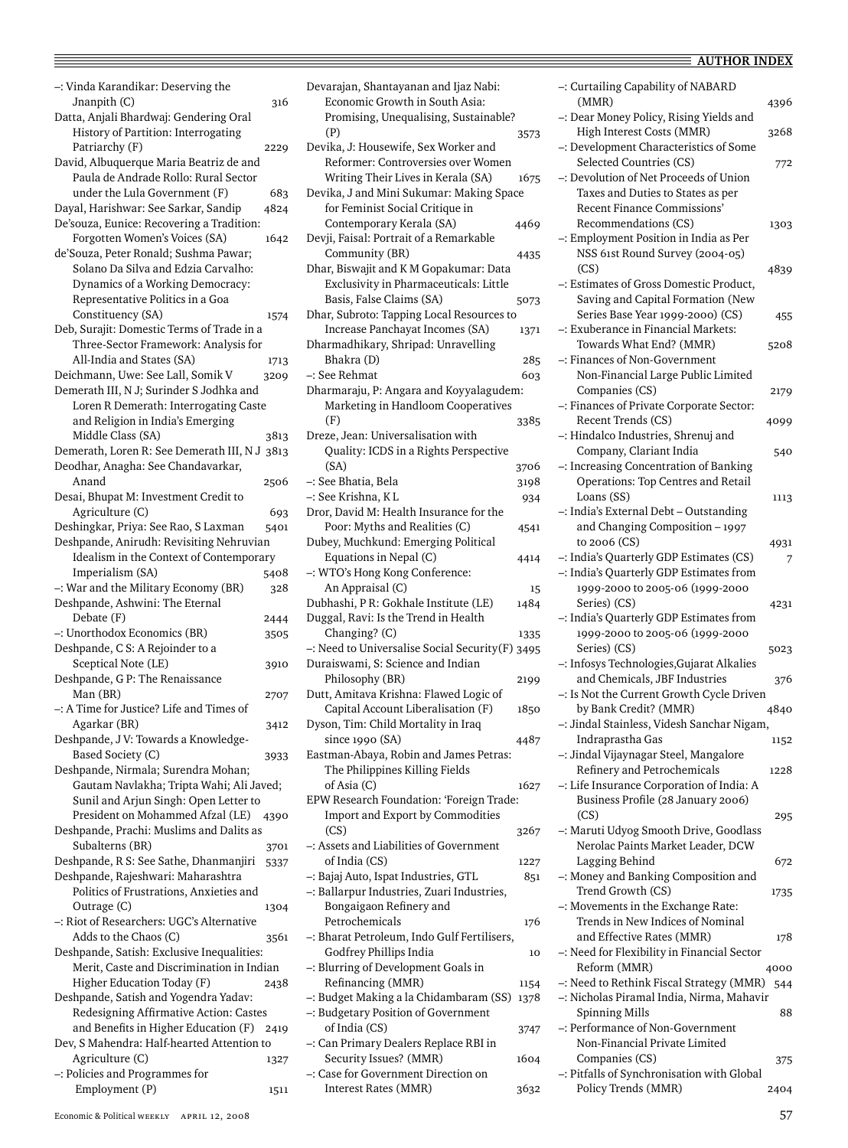–: Vinda Karandikar: Deserving the Jnanpith  $(C)$  316 Datta, Anjali Bhardwaj: Gendering Oral History of Partition: Interrogating Patriarchy (F) 2229 David, Albuquerque Maria Beatriz de and Paula de Andrade Rollo: Rural Sector under the Lula Government (F) 683 Dayal, Harishwar: See Sarkar, Sandip 4824 De'souza, Eunice: Recovering a Tradition: Forgotten Women's Voices (SA) 1642 de'Souza, Peter Ronald; Sushma Pawar; Solano Da Silva and Edzia Carvalho: Dynamics of a Working Democracy: Representative Politics in a Goa Constituency (SA) 1574 Deb, Surajit: Domestic Terms of Trade in a Three-Sector Framework: Analysis for All-India and States (SA) 1713 Deichmann, Uwe: See Lall, Somik V 3209 Demerath III, N J; Surinder S Jodhka and Loren R Demerath: Interrogating Caste and Religion in India's Emerging Middle Class (SA) 3813 Demerath, Loren R: See Demerath III, N J 3813 Deodhar, Anagha: See Chandavarkar, Anand 2506 Desai, Bhupat M: Investment Credit to Agriculture (C) 693 Deshingkar, Priya: See Rao, S Laxman 5401 Deshpande, Anirudh: Revisiting Nehruvian Idealism in the Context of Contemporary Imperialism (SA) 5408 –: War and the Military Economy (BR) 328 Deshpande, Ashwini: The Eternal Debate (F) 2444 –: Unorthodox Economics (BR) 3505 Deshpande, C S: A Rejoinder to a Sceptical Note (LE) 3910 Deshpande, G P: The Renaissance Man (BR) 2707 –: A Time for Justice? Life and Times of Agarkar (BR) 3412 Deshpande, J V: Towards a Knowledge-Based Society (C) 3933 Deshpande, Nirmala; Surendra Mohan; Gautam Navlakha; Tripta Wahi; Ali Javed; Sunil and Arjun Singh: Open Letter to President on Mohammed Afzal (LE) 4390 Deshpande, Prachi: Muslims and Dalits as Subalterns (BR) 3701 Deshpande, R S: See Sathe, Dhanmanjiri 5337 Deshpande, Rajeshwari: Maharashtra Politics of Frustrations, Anxieties and Outrage (C) 1304 –: Riot of Researchers: UGC's Alternative Adds to the Chaos (C) 3561 Deshpande, Satish: Exclusive Inequalities: Merit, Caste and Discrimination in Indian Higher Education Today (F) 2438 Deshpande, Satish and Yogendra Yadav: Redesigning Affirmative Action: Castes and Benefits in Higher Education (F) 2419 Dev, S Mahendra: Half-hearted Attention to Agriculture (C) 1327 –: Policies and Programmes for Employment (P) 1511

Economic Growth in South Asia: Promising, Unequalising, Sustainable? (P) 3573 Devika, J: Housewife, Sex Worker and Reformer: Controversies over Women Writing Their Lives in Kerala (SA) 1675 Devika, J and Mini Sukumar: Making Space for Feminist Social Critique in Contemporary Kerala (SA) 4469 Devji, Faisal: Portrait of a Remarkable Community (BR) 4435 Dhar, Biswajit and K M Gopakumar: Data Exclusivity in Pharmaceuticals: Little Basis, False Claims (SA) 5073 Dhar, Subroto: Tapping Local Resources to Increase Panchayat Incomes (SA) 1371 Dharmadhikary, Shripad: Unravelling Bhakra (D) 285 –: See Rehmat 603 Dharmaraju, P: Angara and Koyyalagudem: Marketing in Handloom Cooperatives (F) 3385 Dreze, Jean: Universalisation with Quality: ICDS in a Rights Perspective (SA) 3706 –: See Bhatia, Bela 3198 –: See Krishna, K L 934 Dror, David M: Health Insurance for the Poor: Myths and Realities (C) 4541 Dubey, Muchkund: Emerging Political Equations in Nepal (C) 4414 –: WTO's Hong Kong Conference: An Appraisal (C) 15 Dubhashi, P R: Gokhale Institute (LE) 1484 Duggal, Ravi: Is the Trend in Health  $\text{Changing? (C)}$  1335 –: Need to Universalise Social Security(F) 3495 Duraiswami, S: Science and Indian Philosophy (BR) 2199 Dutt, Amitava Krishna: Flawed Logic of Capital Account Liberalisation (F) 1850 Dyson, Tim: Child Mortality in Iraq since 1990 (SA) 4487 Eastman-Abaya, Robin and James Petras: The Philippines Killing Fields of Asia  $(C)$  1627 EPW Research Foundation: 'Foreign Trade: Import and Export by Commodities (CS) 3267 –: Assets and Liabilities of Government of India (CS) 1227 -: Bajaj Auto, Ispat Industries, GTL 851 –: Ballarpur Industries, Zuari Industries, Bongaigaon Refinery and Petrochemicals 176 –: Bharat Petroleum, Indo Gulf Fertilisers, Godfrey Phillips India 10 –: Blurring of Development Goals in Refinancing (MMR) 1154 –: Budget Making a la Chidambaram (SS) 1378 –: Budgetary Position of Government of India (CS) 3747 –: Can Primary Dealers Replace RBI in Security Issues? (MMR) 1604 –: Case for Government Direction on Interest Rates (MMR) 3632

Devarajan, Shantayanan and Ijaz Nabi:

| -: Curtailing Capability of NABARD<br>(MMR) |      |
|---------------------------------------------|------|
|                                             | 4396 |
| -: Dear Money Policy, Rising Yields and     |      |
| High Interest Costs (MMR)                   | 3268 |
| -: Development Characteristics of Some      |      |
| Selected Countries (CS)                     |      |
|                                             | 772  |
| -: Devolution of Net Proceeds of Union      |      |
| Taxes and Duties to States as per           |      |
| Recent Finance Commissions'                 |      |
| Recommendations (CS)                        | 1303 |
| -: Employment Position in India as Per      |      |
| NSS 61st Round Survey (2004-05)             |      |
| (CS)                                        | 4839 |
| -: Estimates of Gross Domestic Product,     |      |
| Saving and Capital Formation (New           |      |
|                                             |      |
| Series Base Year 1999-2000) (CS)            | 455  |
| -: Exuberance in Financial Markets:         |      |
| Towards What End? (MMR)                     | 5208 |
| -: Finances of Non-Government               |      |
| Non-Financial Large Public Limited          |      |
| Companies (CS)                              | 2179 |
| -: Finances of Private Corporate Sector:    |      |
| Recent Trends (CS)                          |      |
| -: Hindalco Industries, Shrenuj and         | 4099 |
|                                             |      |
| Company, Clariant India                     | 540  |
| -: Increasing Concentration of Banking      |      |
| Operations: Top Centres and Retail          |      |
| Loans (SS)                                  | 1113 |
| -: India's External Debt - Outstanding      |      |
| and Changing Composition - 1997             |      |
| to 2006 (CS)                                | 4931 |
| -: India's Quarterly GDP Estimates (CS)     | 7    |
| -: India's Quarterly GDP Estimates from     |      |
|                                             |      |
| 1999-2000 to 2005-06 (1999-2000             |      |
| Series) (CS)                                | 4231 |
| -: India's Quarterly GDP Estimates from     |      |
| 1999-2000 to 2005-06 (1999-2000             |      |
| Series) (CS)                                | 5023 |
| -: Infosys Technologies, Gujarat Alkalies   |      |
| and Chemicals, JBF Industries               | 376  |
| -: Is Not the Current Growth Cycle Driven   |      |
| by Bank Credit? (MMR)                       | 4840 |
|                                             |      |
| -: Jindal Stainless, Videsh Sanchar Nigam,  |      |
| Indraprastha Gas                            |      |
|                                             | 1152 |
| -: Jindal Vijaynagar Steel, Mangalore       |      |
| Refinery and Petrochemicals                 | 1228 |
| -: Life Insurance Corporation of India: A   |      |
|                                             |      |
| Business Profile (28 January 2006)          |      |
| (CS)                                        | 295  |
| -: Maruti Udyog Smooth Drive, Goodlass      |      |
| Nerolac Paints Market Leader, DCW           |      |
| Lagging Behind                              | 672  |
| -: Money and Banking Composition and        |      |
| Trend Growth (CS)                           | 1735 |
| -: Movements in the Exchange Rate:          |      |
| Trends in New Indices of Nominal            |      |
| and Effective Rates (MMR)                   | 178  |
|                                             |      |
| -: Need for Flexibility in Financial Sector |      |
| Reform (MMR)                                | 4000 |
| -: Need to Rethink Fiscal Strategy (MMR)    | 544  |
| -: Nicholas Piramal India, Nirma, Mahavir   |      |
| <b>Spinning Mills</b>                       | 88   |
| -: Performance of Non-Government            |      |
| Non-Financial Private Limited               |      |
| Companies (CS)                              | 375  |

Policy Trends (MMR) 2404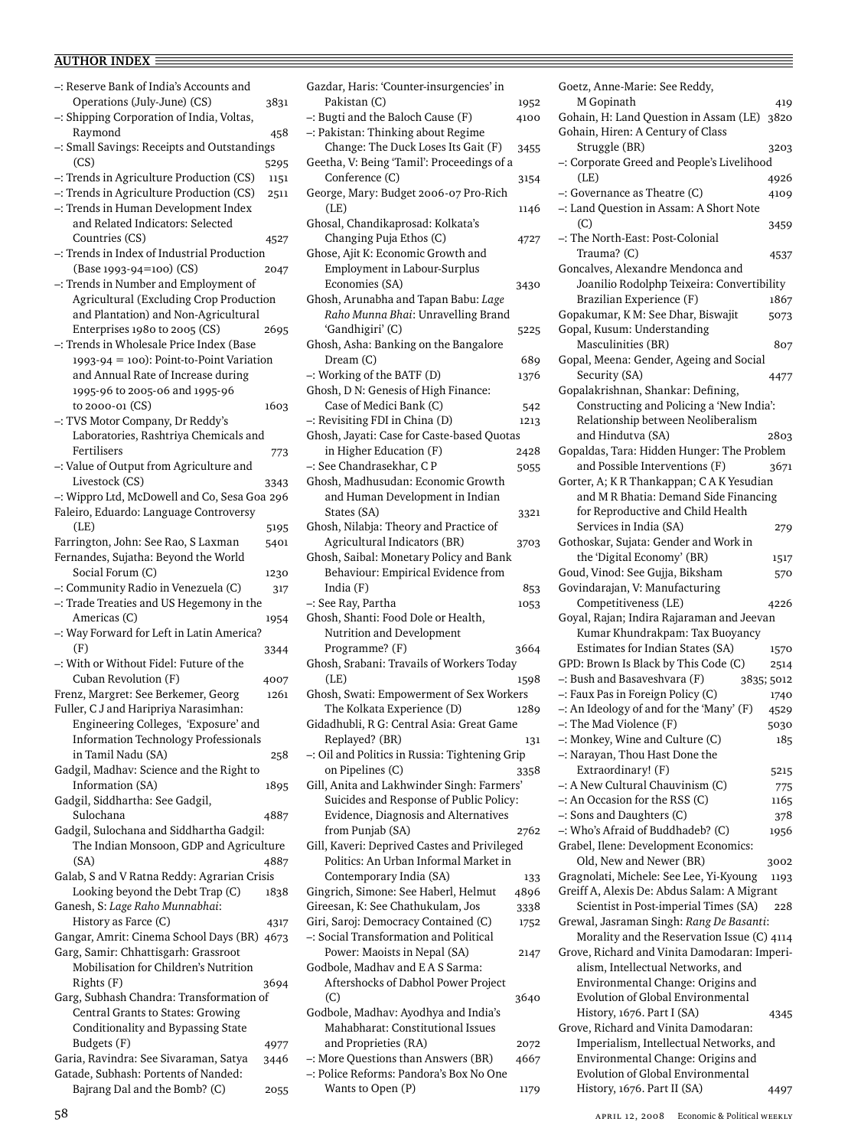| -: Reserve Bank of India's Accounts and                               |      |
|-----------------------------------------------------------------------|------|
| Operations (July-June) (CS)                                           | 3831 |
| -: Shipping Corporation of India, Voltas,                             |      |
| Raymond                                                               | 458  |
| -: Small Savings: Receipts and Outstandings                           |      |
| (CS)                                                                  | 5295 |
| -: Trends in Agriculture Production (CS)                              | 1151 |
| -: Trends in Agriculture Production (CS)                              | 2511 |
| -: Trends in Human Development Index                                  |      |
| and Related Indicators: Selected                                      |      |
| Countries (CS)                                                        | 4527 |
| -: Trends in Index of Industrial Production                           |      |
| (Base 1993-94=100) (CS)                                               | 2047 |
| -: Trends in Number and Employment of                                 |      |
| Agricultural (Excluding Crop Production                               |      |
| and Plantation) and Non-Agricultural                                  |      |
| Enterprises 1980 to 2005 (CS)                                         | 2695 |
| -: Trends in Wholesale Price Index (Base                              |      |
| 1993-94 = 100): Point-to-Point Variation                              |      |
| and Annual Rate of Increase during                                    |      |
| 1995-96 to 2005-06 and 1995-96<br>to 2000-01 (CS)                     |      |
| -: TVS Motor Company, Dr Reddy's                                      | 1603 |
| Laboratories, Rashtriya Chemicals and                                 |      |
| Fertilisers                                                           |      |
| -: Value of Output from Agriculture and                               | 773  |
| Livestock (CS)                                                        | 3343 |
| -: Wippro Ltd, McDowell and Co, Sesa Goa 296                          |      |
| Faleiro, Eduardo: Language Controversy                                |      |
| (LE)                                                                  | 5195 |
| Farrington, John: See Rao, S Laxman                                   | 5401 |
| Fernandes, Sujatha: Beyond the World                                  |      |
| Social Forum (C)                                                      | 1230 |
|                                                                       |      |
| -: Community Radio in Venezuela (C)                                   | 317  |
| -: Trade Treaties and US Hegemony in the                              |      |
| Americas (C)                                                          | 1954 |
| -: Way Forward for Left in Latin America?                             |      |
| (F)                                                                   | 3344 |
| -: With or Without Fidel: Future of the                               |      |
| Cuban Revolution (F)                                                  | 4007 |
| Frenz, Margret: See Berkemer, Georg                                   | 1261 |
| Fuller, CJ and Haripriya Narasimhan:                                  |      |
| Engineering Colleges, 'Exposure' and                                  |      |
| <b>Information Technology Professionals</b>                           |      |
| in Tamil Nadu (SA)                                                    | 258  |
| Gadgil, Madhav: Science and the Right to                              |      |
| Information (SA)                                                      | 1895 |
| Gadgil, Siddhartha: See Gadgil,<br>Sulochana                          | 4887 |
| Gadgil, Sulochana and Siddhartha Gadgil:                              |      |
| The Indian Monsoon, GDP and Agriculture                               |      |
| (SA)                                                                  | 4887 |
| Galab, S and V Ratna Reddy: Agrarian Crisis                           |      |
| Looking beyond the Debt Trap (C)                                      | 1838 |
| Ganesh, S: Lage Raho Munnabhai:                                       |      |
| History as Farce (C)                                                  | 4317 |
| Gangar, Amrit: Cinema School Days (BR) 4673                           |      |
| Garg, Samir: Chhattisgarh: Grassroot                                  |      |
| Mobilisation for Children's Nutrition                                 |      |
| Rights (F)                                                            | 3694 |
| Garg, Subhash Chandra: Transformation of                              |      |
| Central Grants to States: Growing                                     |      |
| Conditionality and Bypassing State                                    |      |
| Budgets (F)                                                           | 4977 |
| Garia, Ravindra: See Sivaraman, Satya                                 | 3446 |
| Gatade, Subhash: Portents of Nanded:<br>Bajrang Dal and the Bomb? (C) | 2055 |

| Gazdar, Haris: 'Counter-insurgencies' in                             |     |
|----------------------------------------------------------------------|-----|
| Pakistan (C)<br>1952                                                 |     |
| -: Bugti and the Baloch Cause (F)<br>4100                            |     |
| -: Pakistan: Thinking about Regime                                   |     |
| Change: The Duck Loses Its Gait (F)<br>3455                          |     |
| Geetha, V: Being 'Tamil': Proceedings of a                           |     |
| Conference (C)<br>3154                                               |     |
| George, Mary: Budget 2006-07 Pro-Rich                                |     |
| (LE)<br>1146                                                         |     |
| Ghosal, Chandikaprosad: Kolkata's                                    |     |
| Changing Puja Ethos (C)<br>4727                                      |     |
| Ghose, Ajit K: Economic Growth and                                   |     |
| Employment in Labour-Surplus                                         |     |
| Economies (SA)<br>3430                                               |     |
| Ghosh, Arunabha and Tapan Babu: Lage                                 |     |
| Raho Munna Bhai: Unravelling Brand                                   |     |
| 'Gandhigiri' (C)<br>5225                                             |     |
| Ghosh, Asha: Banking on the Bangalore                                |     |
| Dream (C)<br>689                                                     |     |
| -: Working of the BATF (D)<br>1376                                   |     |
| Ghosh, D N: Genesis of High Finance:                                 |     |
| Case of Medici Bank (C)                                              | 542 |
| -: Revisiting FDI in China (D)<br>1213                               |     |
| Ghosh, Jayati: Case for Caste-based Quotas                           |     |
| in Higher Education (F)<br>2428                                      |     |
| -: See Chandrasekhar, CP<br>5055                                     |     |
| Ghosh, Madhusudan: Economic Growth                                   |     |
| and Human Development in Indian                                      |     |
| States (SA)<br>3321                                                  |     |
| Ghosh, Nilabja: Theory and Practice of                               |     |
| Agricultural Indicators (BR)<br>3703                                 |     |
| Ghosh, Saibal: Monetary Policy and Bank                              |     |
| Behaviour: Empirical Evidence from                                   |     |
|                                                                      |     |
| India (F)                                                            | 853 |
| -: See Ray, Partha<br>1053                                           |     |
| Ghosh, Shanti: Food Dole or Health,                                  |     |
| Nutrition and Development                                            |     |
| Programme? (F)<br>3664                                               |     |
| Ghosh, Srabani: Travails of Workers Today                            |     |
| (LE)<br>1598                                                         |     |
| Ghosh, Swati: Empowerment of Sex Workers                             |     |
| The Kolkata Experience (D)<br>1289                                   |     |
| Gidadhubli, R G: Central Asia: Great Game                            |     |
| Replayed? (BR)                                                       | 131 |
| -: Oil and Politics in Russia: Tightening Grip                       |     |
| on Pipelines (C)<br>3358                                             |     |
| Gill, Anita and Lakhwinder Singh: Farmers'                           |     |
| Suicides and Response of Public Policy:                              |     |
| Evidence, Diagnosis and Alternatives                                 |     |
| from Punjab (SA)<br>2762                                             |     |
| Gill, Kaveri: Deprived Castes and Privileged                         |     |
| Politics: An Urban Informal Market in                                |     |
| Contemporary India (SA)                                              | 133 |
| Gingrich, Simone: See Haberl, Helmut<br>4896                         |     |
| Gireesan, K: See Chathukulam, Jos<br>3338                            |     |
| Giri, Saroj: Democracy Contained (C)<br>1752                         |     |
| -: Social Transformation and Political                               |     |
| Power: Maoists in Nepal (SA)<br>2147                                 |     |
| Godbole, Madhav and E A S Sarma:                                     |     |
| Aftershocks of Dabhol Power Project                                  |     |
| (C)<br>3640                                                          |     |
| Godbole, Madhav: Ayodhya and India's                                 |     |
| Mahabharat: Constitutional Issues                                    |     |
| and Proprieties (RA)<br>2072                                         |     |
| -: More Questions than Answers (BR)<br>4667                          |     |
| -: Police Reforms: Pandora's Box No One<br>Wants to Open (P)<br>1179 |     |

| Goetz, Anne-Marie: See Reddy,                                    |            |
|------------------------------------------------------------------|------------|
| M Gopinath                                                       | 419        |
| Gohain, H: Land Question in Assam (LE)                           | 3820       |
| Gohain, Hiren: A Century of Class                                |            |
| Struggle (BR)                                                    | 3203       |
| -: Corporate Greed and People's Livelihood                       |            |
| (LE)                                                             | 4926       |
| -: Governance as Theatre (C)                                     | 4109       |
| -: Land Question in Assam: A Short Note                          |            |
| (C)                                                              | 3459       |
| -: The North-East: Post-Colonial                                 |            |
| Trauma? (C)                                                      |            |
|                                                                  | 4537       |
| Goncalves, Alexandre Mendonca and                                |            |
| Joanilio Rodolphp Teixeira: Convertibility                       |            |
| Brazilian Experience (F)                                         | 1867       |
| Gopakumar, K M: See Dhar, Biswajit                               | 5073       |
| Gopal, Kusum: Understanding                                      |            |
| Masculinities (BR)                                               | 807        |
| Gopal, Meena: Gender, Ageing and Social                          |            |
| Security (SA)                                                    | 4477       |
| Gopalakrishnan, Shankar: Defining,                               |            |
| Constructing and Policing a 'New India':                         |            |
| Relationship between Neoliberalism                               |            |
| and Hindutva (SA)                                                | 2803       |
|                                                                  |            |
| Gopaldas, Tara: Hidden Hunger: The Problem                       |            |
| and Possible Interventions (F)                                   | 3671       |
| Gorter, A; KR Thankappan; CAK Yesudian                           |            |
| and M R Bhatia: Demand Side Financing                            |            |
| for Reproductive and Child Health                                |            |
| Services in India (SA)                                           | 279        |
| Gothoskar, Sujata: Gender and Work in                            |            |
| the 'Digital Economy' (BR)                                       | 1517       |
| Goud, Vinod: See Gujja, Biksham                                  | 570        |
| Govindarajan, V: Manufacturing                                   |            |
|                                                                  |            |
|                                                                  |            |
| Competitiveness (LE)                                             | 4226       |
| Goyal, Rajan; Indira Rajaraman and Jeevan                        |            |
| Kumar Khundrakpam: Tax Buoyancy                                  |            |
| Estimates for Indian States (SA)                                 | 1570       |
| GPD: Brown Is Black by This Code (C)                             | 2514       |
| -: Bush and Basaveshvara (F)                                     | 3835; 5012 |
| -: Faux Pas in Foreign Policy (C)                                | 1740       |
| -: An Ideology of and for the 'Many' (F)                         | 4529       |
| $-$ : The Mad Violence (F)                                       | 5030       |
|                                                                  |            |
| -: Monkey, Wine and Culture (C)                                  | 185        |
| ∹ Narayan, Thou Hast Done the                                    |            |
| Extraordinary! (F)                                               | 5215       |
| -: A New Cultural Chauvinism (C)                                 | 775        |
| -: An Occasion for the RSS (C)                                   | 1165       |
| -: Sons and Daughters (C)                                        | 378        |
| -: Who's Afraid of Buddhadeb? (C)                                | 1956       |
| Grabel, Ilene: Development Economics:                            |            |
| Old, New and Newer (BR)                                          | 3002       |
| Gragnolati, Michele: See Lee, Yi-Kyoung                          | 1193       |
| Greiff A, Alexis De: Abdus Salam: A Migrant                      |            |
| Scientist in Post-imperial Times (SA)                            | 228        |
|                                                                  |            |
| Grewal, Jasraman Singh: Rang De Basanti:                         |            |
| Morality and the Reservation Issue (C) 4114                      |            |
| Grove, Richard and Vinita Damodaran: Imperi-                     |            |
| alism, Intellectual Networks, and                                |            |
| Environmental Change: Origins and                                |            |
| Evolution of Global Environmental                                |            |
| History, 1676. Part I (SA)                                       | 4345       |
| Grove, Richard and Vinita Damodaran:                             |            |
| Imperialism, Intellectual Networks, and                          |            |
| Environmental Change: Origins and                                |            |
| Evolution of Global Environmental<br>History, 1676. Part II (SA) |            |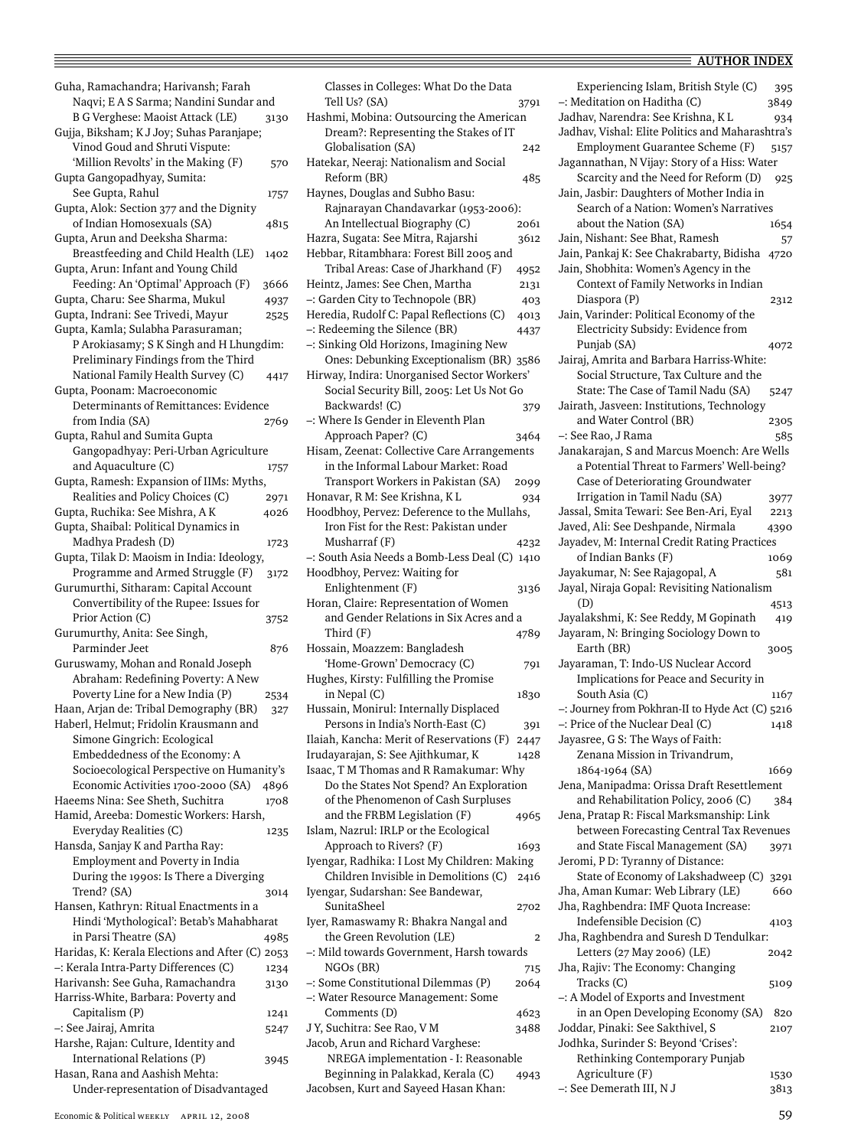#### **and**  $\overline{a}$  **author index**

Experiencing Islam, British Style (C) 395 –: Meditation on Haditha (C) 3849 Jadhav, Narendra: See Krishna, KL 934 Jadhav, Vishal: Elite Politics and Maharashtra's Employment Guarantee Scheme (F) 5157 Jagannathan, N Vijay: Story of a Hiss: Water Scarcity and the Need for Reform (D) 925 Jain, Jasbir: Daughters of Mother India in Search of a Nation: Women's Narratives about the Nation (SA) 1654 Jain, Nishant: See Bhat, Ramesh 57 Jain, Pankaj K: See Chakrabarty, Bidisha 4720 Jain, Shobhita: Women's Agency in the Context of Family Networks in Indian Diaspora (P) 2312

Jain, Varinder: Political Economy of the Electricity Subsidy: Evidence from Punjab (SA) 4072 Jairaj, Amrita and Barbara Harriss-White:

Guha, Ramachandra; Harivansh; Farah Naqvi; E A S Sarma; Nandini Sundar and B G Verghese: Maoist Attack (LE) 3130 Gujja, Biksham; K J Joy; Suhas Paranjape; Vinod Goud and Shruti Vispute: 'Million Revolts' in the Making (F) 570 Gupta Gangopadhyay, Sumita: See Gupta, Rahul 1757 Gupta, Alok: Section 377 and the Dignity of Indian Homosexuals (SA) 4815 Gupta, Arun and Deeksha Sharma: Breastfeeding and Child Health (LE) 1402 Gupta, Arun: Infant and Young Child Feeding: An 'Optimal' Approach (F) 3666 Gupta, Charu: See Sharma, Mukul 4937 Gupta, Indrani: See Trivedi, Mayur 2525 Gupta, Kamla; Sulabha Parasuraman; P Arokiasamy; S K Singh and H Lhungdim: Preliminary Findings from the Third National Family Health Survey (C) 4417 Gupta, Poonam: Macroeconomic Determinants of Remittances: Evidence from India (SA) 2769 Gupta, Rahul and Sumita Gupta Gangopadhyay: Peri-Urban Agriculture and Aquaculture (C) 1757 Gupta, Ramesh: Expansion of IIMs: Myths, Realities and Policy Choices (C) 2971 Gupta, Ruchika: See Mishra, A K 4026 Gupta, Shaibal: Political Dynamics in Madhya Pradesh (D) 1723 Gupta, Tilak D: Maoism in India: Ideology, Programme and Armed Struggle (F) 3172 Gurumurthi, Sitharam: Capital Account Convertibility of the Rupee: Issues for Prior Action (C) 3752 Gurumurthy, Anita: See Singh, Parminder Jeet 876 Guruswamy, Mohan and Ronald Joseph Abraham: Redefining Poverty: A New Poverty Line for a New India (P) 2534 Haan, Arjan de: Tribal Demography (BR) 327 Haberl, Helmut; Fridolin Krausmann and Simone Gingrich: Ecological Embeddedness of the Economy: A Socioecological Perspective on Humanity's Economic Activities 1700-2000 (SA) 4896 Haeems Nina: See Sheth, Suchitra 1708 Hamid, Areeba: Domestic Workers: Harsh, Everyday Realities (C) 1235 Hansda, Sanjay K and Partha Ray: Employment and Poverty in India During the 1990s: Is There a Diverging Trend? (SA) 3014 Hansen, Kathryn: Ritual Enactments in a Hindi 'Mythological': Betab's Mahabharat in Parsi Theatre (SA) 4985 Haridas, K: Kerala Elections and After (C) 2053 –: Kerala Intra-Party Differences (C) 1234 Harivansh: See Guha, Ramachandra 3130 Harriss-White, Barbara: Poverty and Capitalism (P) 1241 –: See Jairaj, Amrita 5247 Harshe, Rajan: Culture, Identity and International Relations (P) 3945 Hasan, Rana and Aashish Mehta: Under-representation of Disadvantaged

Classes in Colleges: What Do the Data Tell Us? (SA) 3791 Hashmi, Mobina: Outsourcing the American Dream?: Representing the Stakes of IT Globalisation (SA) 242 Hatekar, Neeraj: Nationalism and Social Reform (BR) 485 Haynes, Douglas and Subho Basu: Rajnarayan Chandavarkar (1953-2006): An Intellectual Biography (C) 2061 Hazra, Sugata: See Mitra, Rajarshi 3612 Hebbar, Ritambhara: Forest Bill 2005 and Tribal Areas: Case of Jharkhand (F) 4952 Heintz, James: See Chen, Martha 2131 –: Garden City to Technopole (BR) 403 Heredia, Rudolf C: Papal Reflections (C) 4013 –: Redeeming the Silence (BR) 4437 –: Sinking Old Horizons, Imagining New Ones: Debunking Exceptionalism (BR) 3586 Hirway, Indira: Unorganised Sector Workers' Social Security Bill, 2005: Let Us Not Go Backwards! (C) 379 –: Where Is Gender in Eleventh Plan Approach Paper? (C) 3464 Hisam, Zeenat: Collective Care Arrangements in the Informal Labour Market: Road Transport Workers in Pakistan (SA) 2099 Honavar, R M: See Krishna, K L 934 Hoodbhoy, Pervez: Deference to the Mullahs, Iron Fist for the Rest: Pakistan under Musharraf (F) 4232 –: South Asia Needs a Bomb-Less Deal (C) 1410 Hoodbhoy, Pervez: Waiting for Enlightenment (F) 3136 Horan, Claire: Representation of Women and Gender Relations in Six Acres and a Third (F) 4789 Hossain, Moazzem: Bangladesh 'Home-Grown' Democracy (C) 791 Hughes, Kirsty: Fulfilling the Promise in Nepal (C) 1830 Hussain, Monirul: Internally Displaced Persons in India's North-East (C) 391 Ilaiah, Kancha: Merit of Reservations (F) 2447 Irudayarajan, S: See Ajithkumar, K 1428 Isaac, T M Thomas and R Ramakumar: Why Do the States Not Spend? An Exploration of the Phenomenon of Cash Surpluses and the FRBM Legislation (F) 4965 Islam, Nazrul: IRLP or the Ecological Approach to Rivers? (F) 1693 Iyengar, Radhika: I Lost My Children: Making Children Invisible in Demolitions (C) 2416 Iyengar, Sudarshan: See Bandewar, SunitaSheel 2702 Iyer, Ramaswamy R: Bhakra Nangal and the Green Revolution (LE) 2 –: Mild towards Government, Harsh towards  $NGOs$  (BR)  $715$ –: Some Constitutional Dilemmas (P) 2064 –: Water Resource Management: Some Comments (D) 4623 J Y, Suchitra: See Rao, V M 3488 Jacob, Arun and Richard Varghese: NREGA implementation - I: Reasonable Beginning in Palakkad, Kerala (C) 4943

Jacobsen, Kurt and Sayeed Hasan Khan:

Economic & Political WEEKLY APRIL 12, 2008 59 Social Structure, Tax Culture and the State: The Case of Tamil Nadu (SA) 5247 Jairath, Jasveen: Institutions, Technology and Water Control (BR) 2305 –: See Rao, J Rama 585 Janakarajan, S and Marcus Moench: Are Wells a Potential Threat to Farmers' Well-being? Case of Deteriorating Groundwater Irrigation in Tamil Nadu (SA) 3977 Jassal, Smita Tewari: See Ben-Ari, Eyal 2213 Javed, Ali: See Deshpande, Nirmala 4390 Jayadev, M: Internal Credit Rating Practices of Indian Banks (F) 1069 Jayakumar, N: See Rajagopal, A 581 Jayal, Niraja Gopal: Revisiting Nationalism (D) 4513 Jayalakshmi, K: See Reddy, M Gopinath 419 Jayaram, N: Bringing Sociology Down to Earth (BR) 3005 Jayaraman, T: Indo-US Nuclear Accord Implications for Peace and Security in South Asia (C) 1167 –: Journey from Pokhran-II to Hyde Act (C) 5216 –: Price of the Nuclear Deal (C) 1418 Jayasree, G S: The Ways of Faith: Zenana Mission in Trivandrum, 1864-1964 (SA) 1669 Jena, Manipadma: Orissa Draft Resettlement and Rehabilitation Policy, 2006 (C) 384 Jena, Pratap R: Fiscal Marksmanship: Link between Forecasting Central Tax Revenues and State Fiscal Management (SA) 3971 Jeromi, P D: Tyranny of Distance: State of Economy of Lakshadweep (C) 3291 Jha, Aman Kumar: Web Library (LE) 660 Jha, Raghbendra: IMF Quota Increase: Indefensible Decision (C) 4103 Jha, Raghbendra and Suresh D Tendulkar: Letters (27 May 2006) (LE) 2042 Jha, Rajiv: The Economy: Changing Tracks (C) 5109 –: A Model of Exports and Investment in an Open Developing Economy (SA) 820 Joddar, Pinaki: See Sakthivel, S<br>2107 Jodhka, Surinder S: Beyond 'Crises': Rethinking Contemporary Punjab Agriculture (F) 1530  $-$ : See Demerath III, N J  $3813$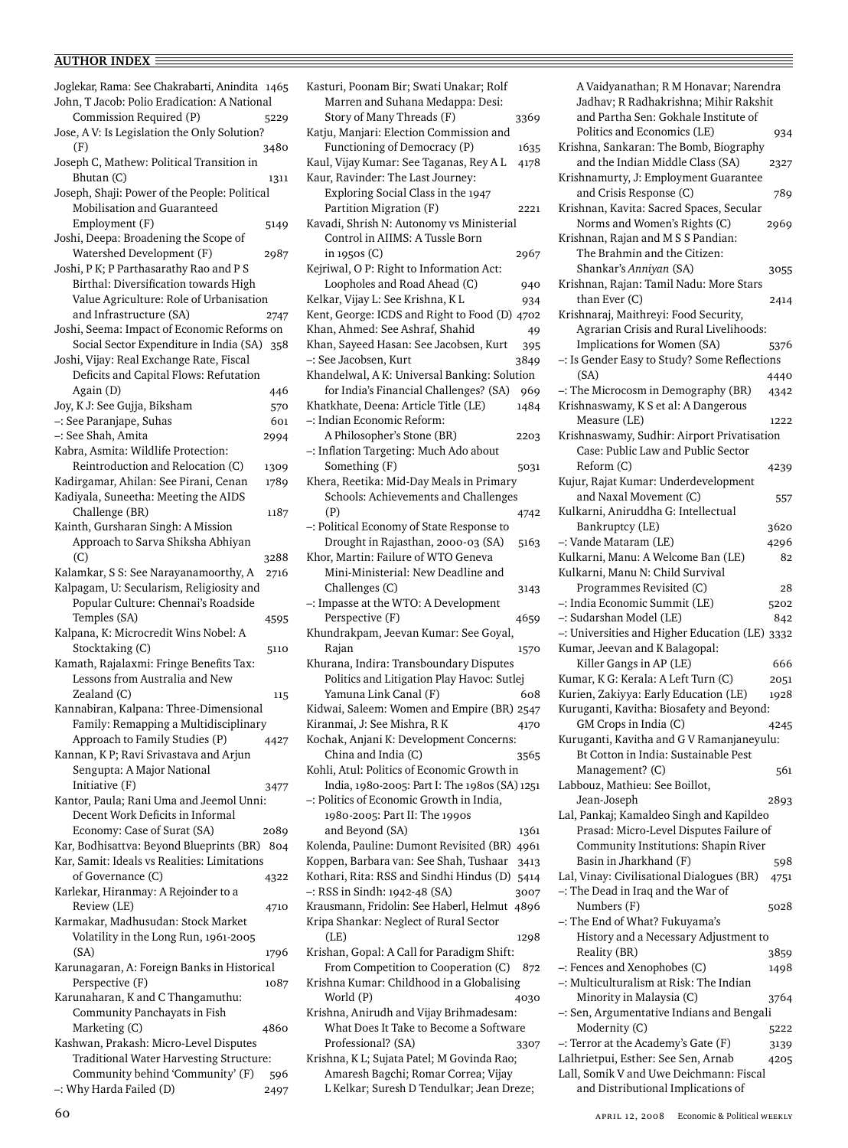|                                               | Joglekar, Rama: See Chakrabarti, Anindita 1465 |
|-----------------------------------------------|------------------------------------------------|
| John, T Jacob: Polio Eradication: A National  |                                                |
| Commission Required (P)                       | 5229                                           |
| Jose, A V: Is Legislation the Only Solution?  |                                                |
| (F)                                           | 3480                                           |
|                                               |                                                |
| Joseph C, Mathew: Political Transition in     |                                                |
| Bhutan (C)                                    | 1311                                           |
| Joseph, Shaji: Power of the People: Political |                                                |
| Mobilisation and Guaranteed                   |                                                |
| Employment (F)                                | 5149                                           |
| Joshi, Deepa: Broadening the Scope of         |                                                |
| Watershed Development (F)                     | 2987                                           |
| Joshi, PK; P Parthasarathy Rao and P S        |                                                |
|                                               |                                                |
| Birthal: Diversification towards High         |                                                |
| Value Agriculture: Role of Urbanisation       |                                                |
| and Infrastructure (SA)                       | 2747                                           |
| Joshi, Seema: Impact of Economic Reforms on   |                                                |
| Social Sector Expenditure in India (SA)       | 358                                            |
| Joshi, Vijay: Real Exchange Rate, Fiscal      |                                                |
| Deficits and Capital Flows: Refutation        |                                                |
|                                               |                                                |
| Again (D)                                     | 446                                            |
| Joy, K J: See Gujja, Biksham                  | 570                                            |
| -: See Paranjape, Suhas                       | 601                                            |
| -: See Shah, Amita                            | 2994                                           |
| Kabra, Asmita: Wildlife Protection:           |                                                |
| Reintroduction and Relocation (C)             | 1309                                           |
|                                               |                                                |
| Kadirgamar, Ahilan: See Pirani, Cenan         | 1789                                           |
| Kadiyala, Suneetha: Meeting the AIDS          |                                                |
| Challenge (BR)                                | 1187                                           |
| Kainth, Gursharan Singh: A Mission            |                                                |
| Approach to Sarva Shiksha Abhiyan             |                                                |
| (C)                                           | 3288                                           |
| Kalamkar, S S: See Narayanamoorthy, A         | 2716                                           |
|                                               |                                                |
| Kalpagam, U: Secularism, Religiosity and      |                                                |
| Popular Culture: Chennai's Roadside           |                                                |
|                                               |                                                |
| Temples (SA)                                  | 4595                                           |
| Kalpana, K: Microcredit Wins Nobel: A         |                                                |
|                                               |                                                |
| Stocktaking (C)                               | 5110                                           |
| Kamath, Rajalaxmi: Fringe Benefits Tax:       |                                                |
| Lessons from Australia and New                |                                                |
| Zealand (C)                                   | 115                                            |
| Kannabiran, Kalpana: Three-Dimensional        |                                                |
| Family: Remapping a Multidisciplinary         |                                                |
| Approach to Family Studies (P)                | 4427                                           |
|                                               |                                                |
| Kannan, K P; Ravi Srivastava and Arjun        |                                                |
| Sengupta: A Major National                    |                                                |
| Initiative (F)                                | 3477                                           |
| Kantor, Paula; Rani Uma and Jeemol Unni:      |                                                |
| Decent Work Deficits in Informal              |                                                |
| Economy: Case of Surat (SA)                   | 2089                                           |
| Kar, Bodhisattva: Beyond Blueprints (BR)      | 804                                            |
|                                               |                                                |
| Kar, Samit: Ideals vs Realities: Limitations  |                                                |
| of Governance (C)                             | 4322                                           |
| Karlekar, Hiranmay: A Rejoinder to a          |                                                |
| Review (LE)                                   | 4710                                           |
| Karmakar, Madhusudan: Stock Market            |                                                |
| Volatility in the Long Run, 1961-2005         |                                                |
| (SA)                                          | 1796                                           |
|                                               |                                                |
| Karunagaran, A: Foreign Banks in Historical   |                                                |
| Perspective (F)                               | 1087                                           |
| Karunaharan, K and C Thangamuthu:             |                                                |
| Community Panchayats in Fish                  |                                                |
| Marketing (C)                                 | 4860                                           |
| Kashwan, Prakash: Micro-Level Disputes        |                                                |
| Traditional Water Harvesting Structure:       |                                                |
| Community behind 'Community' (F)              | 596                                            |

Kasturi, Poonam Bir; Swati Unakar; Rolf Marren and Suhana Medappa: Desi: Story of Many Threads (F) 3369 Katju, Manjari: Election Commission and Functioning of Democracy (P) 1635 Kaul, Vijay Kumar: See Taganas, Rey A L 4178 Kaur, Ravinder: The Last Journey: Exploring Social Class in the 1947 Partition Migration (F) 2221 Kavadi, Shrish N: Autonomy vs Ministerial Control in AIIMS: A Tussle Born in 1950s (C) 2967 Kejriwal, O P: Right to Information Act: Loopholes and Road Ahead (C) 940 Kelkar, Vijay L: See Krishna, K L 934 Kent, George: ICDS and Right to Food (D) 4702 Khan, Ahmed: See Ashraf, Shahid 49 Khan, Sayeed Hasan: See Jacobsen, Kurt 395 –: See Jacobsen, Kurt 3849 Khandelwal, A K: Universal Banking: Solution for India's Financial Challenges? (SA) 969 Khatkhate, Deena: Article Title (LE) 1484 –: Indian Economic Reform: A Philosopher's Stone (BR) 2203 –: Inflation Targeting: Much Ado about Something  $(F)$  5031 Khera, Reetika: Mid-Day Meals in Primary Schools: Achievements and Challenges (P) 4742 –: Political Economy of State Response to Drought in Rajasthan, 2000-03 (SA) 5163 Khor, Martin: Failure of WTO Geneva Mini-Ministerial: New Deadline and Challenges (C) 3143 –: Impasse at the WTO: A Development Perspective (F) 4659 Khundrakpam, Jeevan Kumar: See Goyal, Rajan 1570 Khurana, Indira: Transboundary Disputes Politics and Litigation Play Havoc: Sutlej Yamuna Link Canal (F) 608 Kidwai, Saleem: Women and Empire (BR) 2547 Kiranmai, J: See Mishra, R K 4170 Kochak, Anjani K: Development Concerns:  $China$  and India  $(C)$  3565 Kohli, Atul: Politics of Economic Growth in India, 1980-2005: Part I: The 1980s (SA) 1251 –: Politics of Economic Growth in India, 1980-2005: Part II: The 1990s and Beyond (SA) 1361 Kolenda, Pauline: Dumont Revisited (BR) 4961 Koppen, Barbara van: See Shah, Tushaar 3413 Kothari, Rita: RSS and Sindhi Hindus (D) 5414 –: RSS in Sindh: 1942-48 (SA) 3007 Krausmann, Fridolin: See Haberl, Helmut 4896 Kripa Shankar: Neglect of Rural Sector (LE) 1298 Krishan, Gopal: A Call for Paradigm Shift: From Competition to Cooperation (C) 872 Krishna Kumar: Childhood in a Globalising World (P) 4030 Krishna, Anirudh and Vijay Brihmadesam: What Does It Take to Become a Software Professional? (SA) 3307 Krishna, K L; Sujata Patel; M Govinda Rao; Amaresh Bagchi; Romar Correa; Vijay

L Kelkar; Suresh D Tendulkar; Jean Dreze;

Krishnan, Kavita: Sacred Spaces, Secular Norms and Women's Rights (C) 2969 Krishnan, Rajan and M S S Pandian: The Brahmin and the Citizen: Shankar's *Anniyan* (SA) 3055 Krishnan, Rajan: Tamil Nadu: More Stars than Ever (C) 2414 Krishnaraj, Maithreyi: Food Security, Agrarian Crisis and Rural Livelihoods: Implications for Women (SA) 5376 –: Is Gender Easy to Study? Some Reflections (SA) 4440 –: The Microcosm in Demography (BR) 4342 Krishnaswamy, K S et al: A Dangerous Measure (LE) 1222 Krishnaswamy, Sudhir: Airport Privatisation Case: Public Law and Public Sector Reform (C) 4239 Kujur, Rajat Kumar: Underdevelopment and Naxal Movement (C) 557 Kulkarni, Aniruddha G: Intellectual Bankruptcy (LE) 3620 –: Vande Mataram (LE) 4296 Kulkarni, Manu: A Welcome Ban (LE) 82 Kulkarni, Manu N: Child Survival Programmes Revisited (C) 28 –: India Economic Summit (LE) 5202 –: Sudarshan Model (LE) 842 –: Universities and Higher Education (LE) 3332 Kumar, Jeevan and K Balagopal: Killer Gangs in AP (LE) 666 Kumar, K G: Kerala: A Left Turn (C) 2051 Kurien, Zakiyya: Early Education (LE) 1928 Kuruganti, Kavitha: Biosafety and Beyond: GM Crops in India (C) 4245 Kuruganti, Kavitha and G V Ramanjaneyulu: Bt Cotton in India: Sustainable Pest Management? (C) 561 Labbouz, Mathieu: See Boillot, Jean-Joseph 2893 Lal, Pankaj; Kamaldeo Singh and Kapildeo Prasad: Micro-Level Disputes Failure of Community Institutions: Shapin River Basin in Jharkhand (F) 598 Lal, Vinay: Civilisational Dialogues (BR) 4751 –: The Dead in Iraq and the War of Numbers (F) 5028 –: The End of What? Fukuyama's History and a Necessary Adjustment to Reality (BR) 3859 –: Fences and Xenophobes (C) 1498 –: Multiculturalism at Risk: The Indian Minority in Malaysia (C) 3764 –: Sen, Argumentative Indians and Bengali Modernity (C) 5222 –: Terror at the Academy's Gate (F) 3139 Lalhrietpui, Esther: See Sen, Arnab 4205

A Vaidyanathan; R M Honavar; Narendra Jadhav; R Radhakrishna; Mihir Rakshit and Partha Sen: Gokhale Institute of Politics and Economics (LE) 934 Krishna, Sankaran: The Bomb, Biography and the Indian Middle Class (SA) 2327 Krishnamurty, J: Employment Guarantee and Crisis Response (C) 789

Lall, Somik V and Uwe Deichmann: Fiscal and Distributional Implications of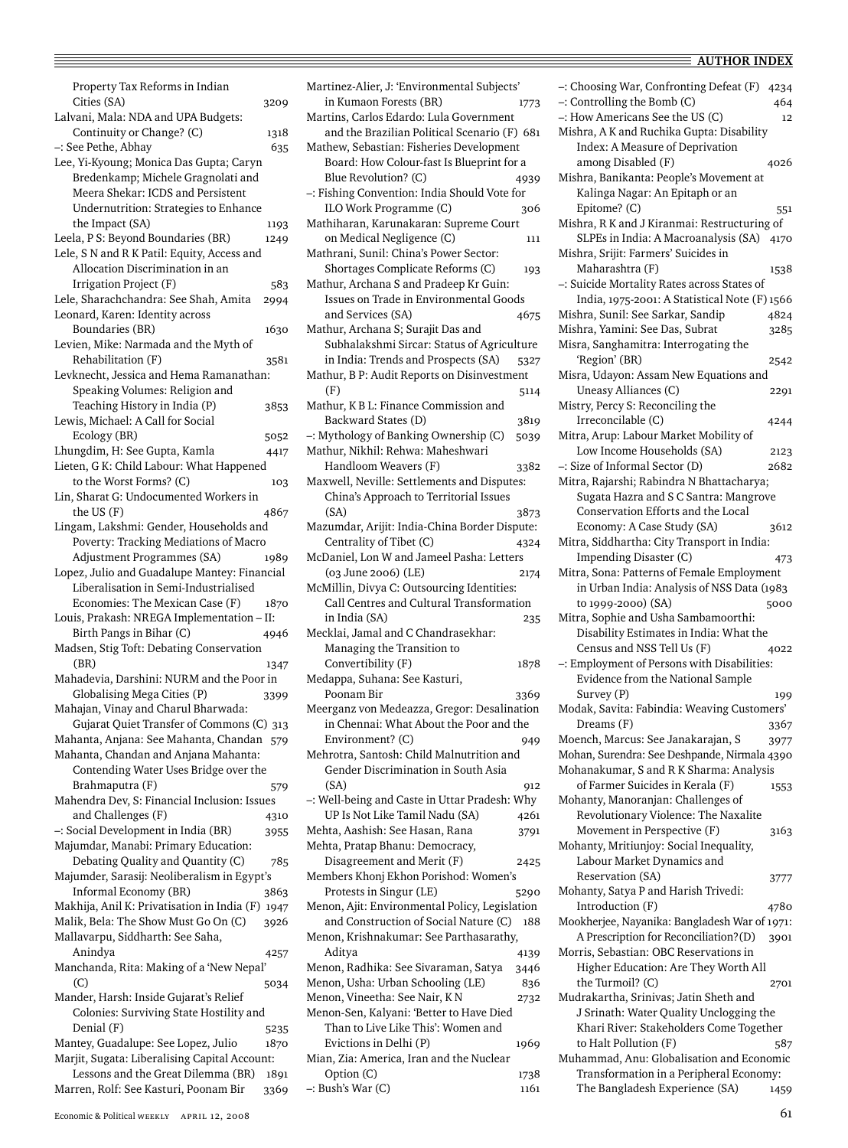Property Tax Reforms in Indian Cities (SA) 3209 Lalvani, Mala: NDA and UPA Budgets: Continuity or Change? (C) 1318 –: See Pethe, Abhay 635 Lee, Yi-Kyoung; Monica Das Gupta; Caryn Bredenkamp; Michele Gragnolati and Meera Shekar: ICDS and Persistent Undernutrition: Strategies to Enhance the Impact (SA) 1193 Leela, P S: Beyond Boundaries (BR) 1249 Lele, S N and R K Patil: Equity, Access and Allocation Discrimination in an Irrigation Project (F) 583 Lele, Sharachchandra: See Shah, Amita 2994 Leonard, Karen: Identity across Boundaries (BR) 1630 Levien, Mike: Narmada and the Myth of Rehabilitation (F) 3581 Levknecht, Jessica and Hema Ramanathan: Speaking Volumes: Religion and Teaching History in India (P) 3853 Lewis, Michael: A Call for Social Ecology (BR) 5052 Lhungdim, H: See Gupta, Kamla 4417 Lieten, G K: Child Labour: What Happened to the Worst Forms? (C) 103 Lin, Sharat G: Undocumented Workers in the US (F) 4867 Lingam, Lakshmi: Gender, Households and Poverty: Tracking Mediations of Macro Adjustment Programmes (SA) 1989 Lopez, Julio and Guadalupe Mantey: Financial Liberalisation in Semi-Industrialised Economies: The Mexican Case (F) 1870 Louis, Prakash: NREGA Implementation – II: Birth Pangs in Bihar (C) 4946 Madsen, Stig Toft: Debating Conservation (BR) 1347 Mahadevia, Darshini: NURM and the Poor in Globalising Mega Cities (P) 3399 Mahajan, Vinay and Charul Bharwada: Gujarat Quiet Transfer of Commons (C) 313 Mahanta, Anjana: See Mahanta, Chandan 579 Mahanta, Chandan and Anjana Mahanta: Contending Water Uses Bridge over the Brahmaputra (F) 579 Mahendra Dev, S: Financial Inclusion: Issues and Challenges (F) 4310 –: Social Development in India (BR) 3955 Majumdar, Manabi: Primary Education: Debating Quality and Quantity (C) 785 Majumder, Sarasij: Neoliberalism in Egypt's Informal Economy (BR) 3863 Makhija, Anil K: Privatisation in India (F) 1947 Malik, Bela: The Show Must Go On (C) 3926 Mallavarpu, Siddharth: See Saha, Anindya 4257 Manchanda, Rita: Making of a 'New Nepal' (C) 5034 Mander, Harsh: Inside Gujarat's Relief Colonies: Surviving State Hostility and Denial (F) 5235 Mantey, Guadalupe: See Lopez, Julio 1870 Marjit, Sugata: Liberalising Capital Account: Lessons and the Great Dilemma (BR) 1891 Marren, Rolf: See Kasturi, Poonam Bir 3369

Martinez-Alier, J: 'Environmental Subjects' in Kumaon Forests (BR) 1773 Martins, Carlos Edardo: Lula Government and the Brazilian Political Scenario (F) 681 Mathew, Sebastian: Fisheries Development Board: How Colour-fast Is Blueprint for a Blue Revolution? (C) 4939 –: Fishing Convention: India Should Vote for ILO Work Programme (C) 306 Mathiharan, Karunakaran: Supreme Court on Medical Negligence (C) 111 Mathrani, Sunil: China's Power Sector: Shortages Complicate Reforms (C) 193 Mathur, Archana S and Pradeep Kr Guin: Issues on Trade in Environmental Goods and Services (SA)  $4675$ Mathur, Archana S; Surajit Das and Subhalakshmi Sircar: Status of Agriculture in India: Trends and Prospects (SA) 5327 Mathur, B P: Audit Reports on Disinvestment (F) 5114 Mathur, K B L: Finance Commission and Backward States (D) 3819 –: Mythology of Banking Ownership (C) 5039 Mathur, Nikhil: Rehwa: Maheshwari Handloom Weavers (F) 3382 Maxwell, Neville: Settlements and Disputes: China's Approach to Territorial Issues (SA) 3873 Mazumdar, Arijit: India-China Border Dispute: Centrality of Tibet (C) 4324 McDaniel, Lon W and Jameel Pasha: Letters (03 June 2006) (LE) 2174 McMillin, Divya C: Outsourcing Identities: Call Centres and Cultural Transformation in India (SA) 235 Mecklai, Jamal and C Chandrasekhar: Managing the Transition to Convertibility (F) 1878 Medappa, Suhana: See Kasturi, Poonam Bir 3369 Meerganz von Medeazza, Gregor: Desalination in Chennai: What About the Poor and the Environment? (C) 949 Mehrotra, Santosh: Child Malnutrition and Gender Discrimination in South Asia (SA) 912 –: Well-being and Caste in Uttar Pradesh: Why UP Is Not Like Tamil Nadu (SA) 4261 Mehta, Aashish: See Hasan, Rana 3791 Mehta, Pratap Bhanu: Democracy, Disagreement and Merit (F) 2425 Members Khonj Ekhon Porishod: Women's Protests in Singur (LE) 5290 Menon, Ajit: Environmental Policy, Legislation and Construction of Social Nature (C) 188 Menon, Krishnakumar: See Parthasarathy, Aditya 4139 Menon, Radhika: See Sivaraman, Satya 3446 Menon, Usha: Urban Schooling (LE) 836 Menon, Vineetha: See Nair, K N 2732 Menon-Sen, Kalyani: 'Better to Have Died Than to Live Like This': Women and Evictions in Delhi (P) 1969 Mian, Zia: America, Iran and the Nuclear Option (C) 1738 –: Bush's War (C) 1161

–: Choosing War, Confronting Defeat (F) 4234 –: Controlling the Bomb (C) 464 –: How Americans See the US (C) 12 Mishra, A K and Ruchika Gupta: Disability Index: A Measure of Deprivation among Disabled (F) 4026 Mishra, Banikanta: People's Movement at Kalinga Nagar: An Epitaph or an Epitome? (C) 551 Mishra, R K and J Kiranmai: Restructuring of SLPEs in India: A Macroanalysis (SA) 4170 Mishra, Srijit: Farmers' Suicides in Maharashtra (F) 1538 –: Suicide Mortality Rates across States of India, 1975-2001: A Statistical Note (F) 1566 Mishra, Sunil: See Sarkar, Sandip 4824 Mishra, Yamini: See Das, Subrat 3285 Misra, Sanghamitra: Interrogating the 'Region' (BR) 2542 Misra, Udayon: Assam New Equations and Uneasy Alliances (C) 2291 Mistry, Percy S: Reconciling the Irreconcilable (C) 4244 Mitra, Arup: Labour Market Mobility of Low Income Households (SA) 2123 –: Size of Informal Sector (D) 2682 Mitra, Rajarshi; Rabindra N Bhattacharya; Sugata Hazra and S C Santra: Mangrove Conservation Efforts and the Local Economy: A Case Study (SA) 3612 Mitra, Siddhartha: City Transport in India: Impending Disaster (C) 473 Mitra, Sona: Patterns of Female Employment in Urban India: Analysis of NSS Data (1983 to 1999-2000) (SA) 5000 Mitra, Sophie and Usha Sambamoorthi: Disability Estimates in India: What the Census and NSS Tell Us (F) 4022 –: Employment of Persons with Disabilities: Evidence from the National Sample Survey (P) 199 Modak, Savita: Fabindia: Weaving Customers' Dreams (F) 3367 Moench, Marcus: See Janakarajan, S 3977 Mohan, Surendra: See Deshpande, Nirmala 4390 Mohanakumar, S and R K Sharma: Analysis of Farmer Suicides in Kerala (F) 1553 Mohanty, Manoranjan: Challenges of Revolutionary Violence: The Naxalite Movement in Perspective (F) 3163 Mohanty, Mritiunjoy: Social Inequality, Labour Market Dynamics and Reservation (SA) 3777 Mohanty, Satya P and Harish Trivedi: Introduction (F) 4780 Mookherjee, Nayanika: Bangladesh War of 1971: A Prescription for Reconciliation?(D) 3901 Morris, Sebastian: OBC Reservations in Higher Education: Are They Worth All the Turmoil? (C) 2701 Mudrakartha, Srinivas; Jatin Sheth and J Srinath: Water Quality Unclogging the Khari River: Stakeholders Come Together to Halt Pollution (F) 587 Muhammad, Anu: Globalisation and Economic Transformation in a Peripheral Economy: The Bangladesh Experience (SA) 1459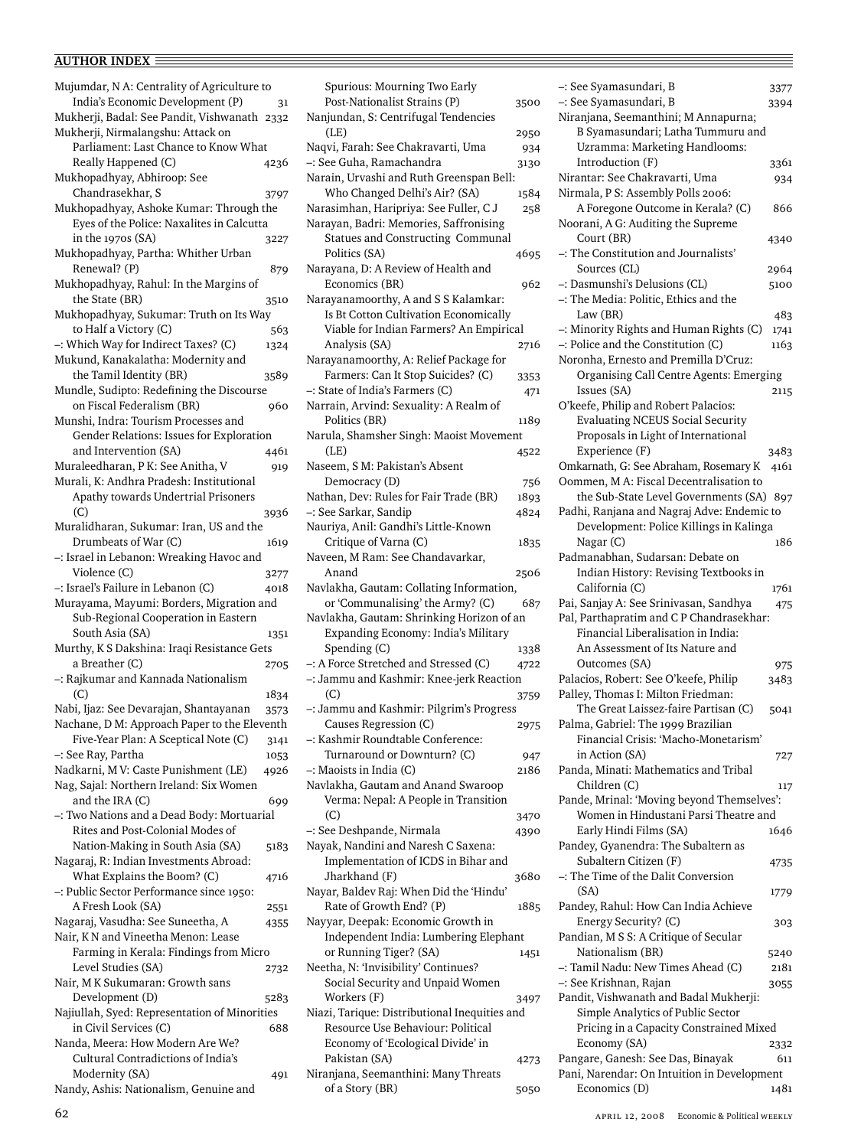| Mujumdar, N A: Centrality of Agriculture to                |      |
|------------------------------------------------------------|------|
| India's Economic Development (P)                           | 31   |
| Mukherji, Badal: See Pandit, Vishwanath 2332               |      |
| Mukherji, Nirmalangshu: Attack on                          |      |
| Parliament: Last Chance to Know What                       |      |
| Really Happened (C)                                        | 4236 |
| Mukhopadhyay, Abhiroop: See                                |      |
| Chandrasekhar, S                                           | 3797 |
| Mukhopadhyay, Ashoke Kumar: Through the                    |      |
| Eyes of the Police: Naxalites in Calcutta                  |      |
| in the 1970s (SA)                                          | 3227 |
| Mukhopadhyay, Partha: Whither Urban<br>Renewal? (P)        |      |
| Mukhopadhyay, Rahul: In the Margins of                     | 879  |
| the State (BR)                                             |      |
| Mukhopadhyay, Sukumar: Truth on Its Way                    | 3510 |
| to Half a Victory (C)                                      | 563  |
| -: Which Way for Indirect Taxes? (C)                       | 1324 |
| Mukund, Kanakalatha: Modernity and                         |      |
| the Tamil Identity (BR)                                    | 3589 |
| Mundle, Sudipto: Redefining the Discourse                  |      |
| on Fiscal Federalism (BR)                                  | 960  |
| Munshi, Indra: Tourism Processes and                       |      |
| Gender Relations: Issues for Exploration                   |      |
| and Intervention (SA)                                      | 4461 |
| Muraleedharan, P K: See Anitha, V                          | 919  |
| Murali, K: Andhra Pradesh: Institutional                   |      |
| Apathy towards Undertrial Prisoners                        |      |
| (C)                                                        | 3936 |
| Muralidharan, Sukumar: Iran, US and the                    |      |
| Drumbeats of War (C)                                       | 1619 |
| -: Israel in Lebanon: Wreaking Havoc and                   |      |
| Violence (C)                                               | 3277 |
|                                                            |      |
| -: Israel's Failure in Lebanon (C)                         | 4018 |
| Murayama, Mayumi: Borders, Migration and                   |      |
| Sub-Regional Cooperation in Eastern                        |      |
| South Asia (SA)                                            | 1351 |
| Murthy, K S Dakshina: Iraqi Resistance Gets                |      |
| a Breather (C)                                             | 2705 |
| -: Rajkumar and Kannada Nationalism                        |      |
| (C)                                                        | 1834 |
| Nabi, Ijaz: See Devarajan, Shantayanan                     | 3573 |
| Nachane, D M: Approach Paper to the Eleventh               |      |
| Five-Year Plan: A Sceptical Note (C)                       | 3141 |
| -: See Ray, Partha                                         | 1053 |
| Nadkarni, M V: Caste Punishment (LE)                       | 4926 |
| Nag, Sajal: Northern Ireland: Six Women<br>and the IRA (C) | 699  |
| -: Two Nations and a Dead Body: Mortuarial                 |      |
| Rites and Post-Colonial Modes of                           |      |
| Nation-Making in South Asia (SA)                           | 5183 |
| Nagaraj, R: Indian Investments Abroad:                     |      |
| What Explains the Boom? (C)                                | 4716 |
| -: Public Sector Performance since 1950:                   |      |
| A Fresh Look (SA)                                          | 2551 |
| Nagaraj, Vasudha: See Suneetha, A                          | 4355 |
| Nair, K N and Vineetha Menon: Lease                        |      |
| Farming in Kerala: Findings from Micro                     |      |
| Level Studies (SA)                                         | 2732 |
| Nair, M K Sukumaran: Growth sans                           |      |
| Development (D)                                            | 5283 |
| Najiullah, Syed: Representation of Minorities              |      |
| in Civil Services (C)                                      | 688  |
| Nanda, Meera: How Modern Are We?                           |      |
| Cultural Contradictions of India's<br>Modernity (SA)       | 491  |

Post-Nationalist Strains (P) 3500 Nanjundan, S: Centrifugal Tendencies (LE) 2950 Naqvi, Farah: See Chakravarti, Uma 934 –: See Guha, Ramachandra 3130 Narain, Urvashi and Ruth Greenspan Bell: Who Changed Delhi's Air? (SA) 1584 Narasimhan, Haripriya: See Fuller, C J 258 Narayan, Badri: Memories, Saffronising Statues and Constructing Communal Politics (SA) 4695 Narayana, D: A Review of Health and Economics (BR) 962 Narayanamoorthy, A and S S Kalamkar: Is Bt Cotton Cultivation Economically Viable for Indian Farmers? An Empirical Analysis (SA) 2716 Narayanamoorthy, A: Relief Package for Farmers: Can It Stop Suicides? (C) 3353  $-$ : State of India's Farmers (C)  $471$ Narrain, Arvind: Sexuality: A Realm of Politics (BR) 1189 Narula, Shamsher Singh: Maoist Movement (LE) 4522 Naseem, S M: Pakistan's Absent Democracy (D) 756 Nathan, Dev: Rules for Fair Trade (BR) 1893 –: See Sarkar, Sandip 4824 Nauriya, Anil: Gandhi's Little-Known Critique of Varna (C) 1835 Naveen, M Ram: See Chandavarkar, Anand 2506 Navlakha, Gautam: Collating Information, or 'Communalising' the Army? (C) 687 Navlakha, Gautam: Shrinking Horizon of an Expanding Economy: India's Military Spending (C) 1338 –: A Force Stretched and Stressed (C) 4722 –: Jammu and Kashmir: Knee-jerk Reaction (C) 3759 –: Jammu and Kashmir: Pilgrim's Progress Causes Regression (C) 2975 –: Kashmir Roundtable Conference: Turnaround or Downturn?  $(C)$  947 –: Maoists in India (C) 2186 Navlakha, Gautam and Anand Swaroop Verma: Nepal: A People in Transition (C) 3470 –: See Deshpande, Nirmala 4390 Nayak, Nandini and Naresh C Saxena: Implementation of ICDS in Bihar and Jharkhand (F) 3680 Nayar, Baldev Raj: When Did the 'Hindu' Rate of Growth End? (P) 1885 Nayyar, Deepak: Economic Growth in Independent India: Lumbering Elephant or Running Tiger? (SA) 1451 Neetha, N: 'Invisibility' Continues? Social Security and Unpaid Women Workers (F) 3497 Niazi, Tarique: Distributional Inequities and Resource Use Behaviour: Political Economy of 'Ecological Divide' in Pakistan (SA) 4273

Niranjana, Seemanthini: Many Threats

of a Story (BR) 5050

Spurious: Mourning Two Early

Uzramma: Marketing Handlooms: Introduction (F) 3361 Nirantar: See Chakravarti, Uma 934 Nirmala, P S: Assembly Polls 2006: A Foregone Outcome in Kerala? (C) 866 Noorani, A G: Auditing the Supreme Court (BR) 4340 –: The Constitution and Journalists' Sources (CL) 2964 –: Dasmunshi's Delusions (CL) 5100 –: The Media: Politic, Ethics and the Law (BR) 483  $-$ : Minority Rights and Human Rights (C) 1741  $-$ : Police and the Constitution (C) 1163 Noronha, Ernesto and Premilla D'Cruz: Organising Call Centre Agents: Emerging Issues (SA) 2115 O'keefe, Philip and Robert Palacios: Evaluating NCEUS Social Security Proposals in Light of International Experience (F) 3483 Omkarnath, G: See Abraham, Rosemary K 4161 Oommen, M A: Fiscal Decentralisation to the Sub-State Level Governments (SA) 897 Padhi, Ranjana and Nagraj Adve: Endemic to Development: Police Killings in Kalinga  $Nagar (C)$  186 Padmanabhan, Sudarsan: Debate on Indian History: Revising Textbooks in California (C) 1761 Pai, Sanjay A: See Srinivasan, Sandhya 475 Pal, Parthapratim and C P Chandrasekhar: Financial Liberalisation in India: An Assessment of Its Nature and Outcomes (SA) 975 Palacios, Robert: See O'keefe, Philip 3483 Palley, Thomas I: Milton Friedman: The Great Laissez-faire Partisan (C) 5041 Palma, Gabriel: The 1999 Brazilian Financial Crisis: 'Macho-Monetarism' in Action (SA) 727 Panda, Minati: Mathematics and Tribal Children (C) 117 Pande, Mrinal: 'Moving beyond Themselves': Women in Hindustani Parsi Theatre and Early Hindi Films (SA) 1646 Pandey, Gyanendra: The Subaltern as Subaltern Citizen (F) 4735 –: The Time of the Dalit Conversion (SA) 1779 Pandey, Rahul: How Can India Achieve Energy Security? (C) 303 Pandian, M S S: A Critique of Secular Nationalism (BR) 5240 –: Tamil Nadu: New Times Ahead (C) 2181 –: See Krishnan, Rajan 3055 Pandit, Vishwanath and Badal Mukherji: Simple Analytics of Public Sector Pricing in a Capacity Constrained Mixed Economy (SA) 2332 Pangare, Ganesh: See Das, Binayak 611

–: See Syamasundari, B 3377 –: See Syamasundari, B 3394 Niranjana, Seemanthini; M Annapurna; B Syamasundari; Latha Tummuru and

Pani, Narendar: On Intuition in Development Economics (D) 1481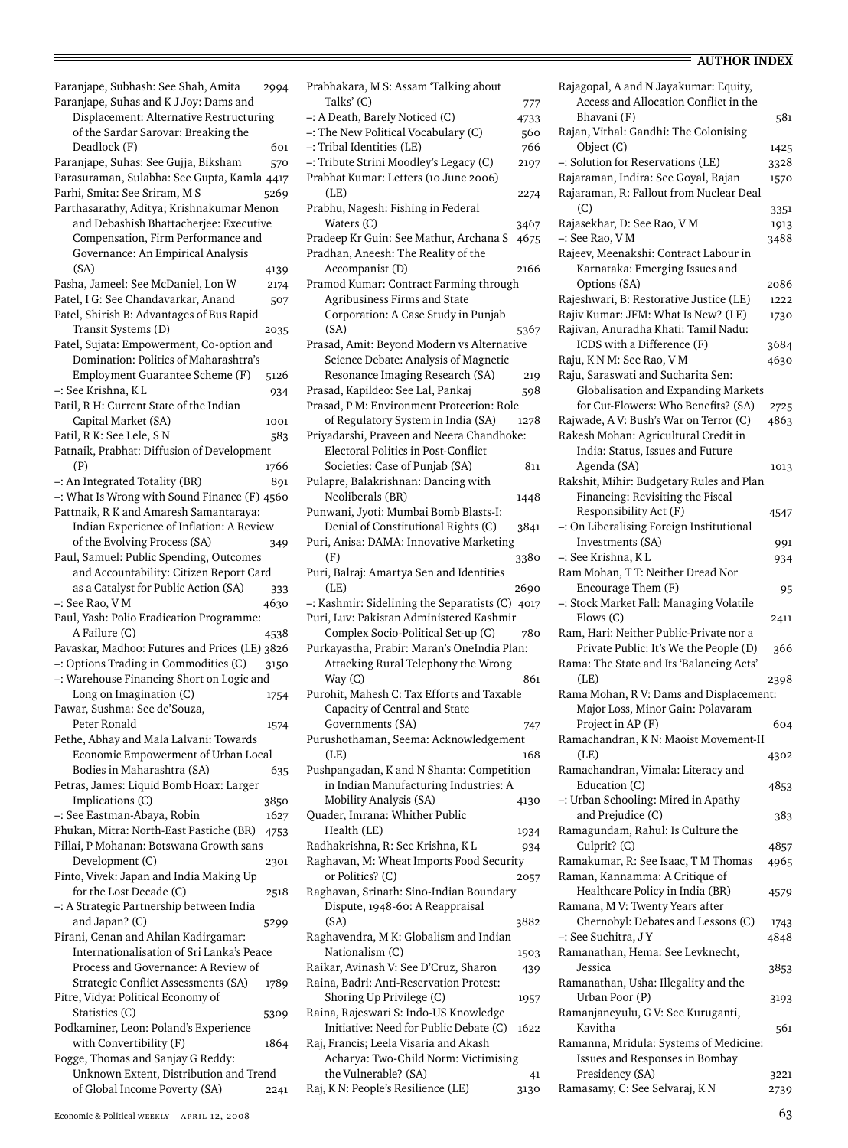Rajagopal, A and N Jayakumar: Equity,

Paranjape, Subhash: See Shah, Amita 2994 Paranjape, Suhas and K J Joy: Dams and Displacement: Alternative Restructuring of the Sardar Sarovar: Breaking the Deadlock (F) 601 Paranjape, Suhas: See Gujja, Biksham 570 Parasuraman, Sulabha: See Gupta, Kamla 4417 Parhi, Smita: See Sriram, M S 5269 Parthasarathy, Aditya; Krishnakumar Menon and Debashish Bhattacherjee: Executive Compensation, Firm Performance and Governance: An Empirical Analysis (SA) 4139 Pasha, Jameel: See McDaniel, Lon W 2174 Patel, I G: See Chandavarkar, Anand 507 Patel, Shirish B: Advantages of Bus Rapid Transit Systems (D) 2035 Patel, Sujata: Empowerment, Co-option and Domination: Politics of Maharashtra's Employment Guarantee Scheme (F) 5126 –: See Krishna, K L 934 Patil, R H: Current State of the Indian Capital Market (SA) 1001 Patil, R K: See Lele, S N 583 Patnaik, Prabhat: Diffusion of Development (P) 1766 –: An Integrated Totality (BR) 891 –: What Is Wrong with Sound Finance (F) 4560 Pattnaik, R K and Amaresh Samantaraya: Indian Experience of Inflation: A Review of the Evolving Process (SA) 349 Paul, Samuel: Public Spending, Outcomes and Accountability: Citizen Report Card as a Catalyst for Public Action (SA) 333  $-$ : See Rao, V M  $4630$ Paul, Yash: Polio Eradication Programme: A Failure (C) 4538 Pavaskar, Madhoo: Futures and Prices (LE) 3826 –: Options Trading in Commodities (C) 3150 –: Warehouse Financing Short on Logic and Long on Imagination (C) 1754 Pawar, Sushma: See de'Souza, Peter Ronald 1574 Pethe, Abhay and Mala Lalvani: Towards Economic Empowerment of Urban Local Bodies in Maharashtra (SA) 635 Petras, James: Liquid Bomb Hoax: Larger Implications (C) 3850 –: See Eastman-Abaya, Robin 1627 Phukan, Mitra: North-East Pastiche (BR) 4753 Pillai, P Mohanan: Botswana Growth sans Development (C) 2301 Pinto, Vivek: Japan and India Making Up for the Lost Decade (C) 2518 –: A Strategic Partnership between India and Japan?  $(C)$  5299 Pirani, Cenan and Ahilan Kadirgamar: Internationalisation of Sri Lanka's Peace Process and Governance: A Review of Strategic Conflict Assessments (SA) 1789 Pitre, Vidya: Political Economy of Statistics (C) 5309 Podkaminer, Leon: Poland's Experience with Convertibility (F) 1864 Pogge, Thomas and Sanjay G Reddy: Unknown Extent, Distribution and Trend of Global Income Poverty (SA) 2241

Prabhakara, M S: Assam 'Talking about Talks' (C) 777 –: A Death, Barely Noticed (C) 4733 –: The New Political Vocabulary (C) 560 –: Tribal Identities (LE) 766 –: Tribute Strini Moodley's Legacy (C) 2197 Prabhat Kumar: Letters (10 June 2006) (LE) 2274 Prabhu, Nagesh: Fishing in Federal Waters (C) 3467 Pradeep Kr Guin: See Mathur, Archana S 4675 Pradhan, Aneesh: The Reality of the Accompanist (D) 2166 Pramod Kumar: Contract Farming through Agribusiness Firms and State Corporation: A Case Study in Punjab (SA) 5367 Prasad, Amit: Beyond Modern vs Alternative Science Debate: Analysis of Magnetic Resonance Imaging Research (SA) 219 Prasad, Kapildeo: See Lal, Pankaj 598 Prasad, P M: Environment Protection: Role of Regulatory System in India (SA) 1278 Priyadarshi, Praveen and Neera Chandhoke: Electoral Politics in Post-Conflict Societies: Case of Punjab (SA) 811 Pulapre, Balakrishnan: Dancing with Neoliberals (BR) 1448 Punwani, Jyoti: Mumbai Bomb Blasts-I: Denial of Constitutional Rights (C) 3841 Puri, Anisa: DAMA: Innovative Marketing (F) 3380 Puri, Balraj: Amartya Sen and Identities (LE) 2690 –: Kashmir: Sidelining the Separatists (C) 4017 Puri, Luv: Pakistan Administered Kashmir Complex Socio-Political Set-up (C) 780 Purkayastha, Prabir: Maran's OneIndia Plan: Attacking Rural Telephony the Wrong  $Way(C)$  861 Purohit, Mahesh C: Tax Efforts and Taxable Capacity of Central and State Governments (SA) 747 Purushothaman, Seema: Acknowledgement (LE) 168 Pushpangadan, K and N Shanta: Competition in Indian Manufacturing Industries: A Mobility Analysis (SA) 4130 Quader, Imrana: Whither Public Health (LE) 1934 Radhakrishna, R: See Krishna, K L 934 Raghavan, M: Wheat Imports Food Security or Politics? (C) 2057 Raghavan, Srinath: Sino-Indian Boundary Dispute, 1948-60: A Reappraisal (SA) 3882 Raghavendra, M K: Globalism and Indian Nationalism (C) 1503 Raikar, Avinash V: See D'Cruz, Sharon 439 Raina, Badri: Anti-Reservation Protest: Shoring Up Privilege (C) 1957 Raina, Rajeswari S: Indo-US Knowledge Initiative: Need for Public Debate (C) 1622 Raj, Francis; Leela Visaria and Akash Acharya: Two-Child Norm: Victimising the Vulnerable? (SA) 41

Raj, K N: People's Resilience (LE) 3130

| Access and Allocation Conflict in the             |      |
|---------------------------------------------------|------|
| Bhavani (F)                                       | 581  |
| Rajan, Vithal: Gandhi: The Colonising             |      |
| Object (C)                                        | 1425 |
| -: Solution for Reservations (LE)                 | 3328 |
| Rajaraman, Indira: See Goyal, Rajan               | 1570 |
| Rajaraman, R: Fallout from Nuclear Deal           |      |
| (C)                                               | 3351 |
| Rajasekhar, D: See Rao, V M                       | 1913 |
| -: See Rao, V M                                   | 3488 |
| Rajeev, Meenakshi: Contract Labour in             |      |
| Karnataka: Emerging Issues and                    |      |
| Options (SA)                                      | 2086 |
| Rajeshwari, B: Restorative Justice (LE)           | 1222 |
| Rajiv Kumar: JFM: What Is New? (LE)               | 1730 |
| Rajivan, Anuradha Khati: Tamil Nadu:              |      |
| ICDS with a Difference (F)                        | 3684 |
| Raju, KNM: See Rao, VM                            | 4630 |
| Raju, Saraswati and Sucharita Sen:                |      |
| Globalisation and Expanding Markets               |      |
| for Cut-Flowers: Who Benefits? (SA)               | 2725 |
| Rajwade, A V: Bush's War on Terror (C)            | 4863 |
| Rakesh Mohan: Agricultural Credit in              |      |
| India: Status, Issues and Future                  |      |
| Agenda (SA)                                       | 1013 |
| Rakshit, Mihir: Budgetary Rules and Plan          |      |
| Financing: Revisiting the Fiscal                  |      |
| Responsibility Act (F)                            | 4547 |
| -: On Liberalising Foreign Institutional          |      |
| Investments (SA)                                  | 991  |
| -: See Krishna, KL                                | 934  |
| Ram Mohan, T T: Neither Dread Nor                 |      |
| Encourage Them (F)                                |      |
|                                                   | 95   |
| -: Stock Market Fall: Managing Volatile           |      |
| Flows $(C)$                                       | 2411 |
| Ram, Hari: Neither Public-Private nor a           |      |
| Private Public: It's We the People (D)            | 366  |
| Rama: The State and Its 'Balancing Acts'          |      |
| (LE)                                              | 2398 |
| Rama Mohan, R V: Dams and Displacement:           |      |
| Major Loss, Minor Gain: Polavaram                 |      |
| Project in AP (F)                                 | 604  |
| Ramachandran, K N: Maoist Movement-II             |      |
| (LE)                                              | 4302 |
| Ramachandran, Vimala: Literacy and                |      |
| Education (C)                                     | 4853 |
| -: Urban Schooling: Mired in Apathy               |      |
| and Prejudice (C)                                 | 383  |
| Ramagundam, Rahul: Is Culture the                 |      |
| Culprit? (C)                                      | 4857 |
| Ramakumar, R: See Isaac, T M Thomas               | 4965 |
| Raman, Kannamma: A Critique of                    |      |
| Healthcare Policy in India (BR)                   | 4579 |
| Ramana, M V: Twenty Years after                   |      |
| Chernobyl: Debates and Lessons (C)                | 1743 |
| ∹ See Suchitra, J Y                               | 4848 |
| Ramanathan, Hema: See Levknecht,                  |      |
| Jessica                                           | 3853 |
| Ramanathan, Usha: Illegality and the              |      |
| Urban Poor (P)                                    | 3193 |
| Ramanjaneyulu, G V: See Kuruganti,<br>Kavitha     |      |
|                                                   | 561  |
| Ramanna, Mridula: Systems of Medicine:            |      |
| Issues and Responses in Bombay<br>Presidency (SA) | 3221 |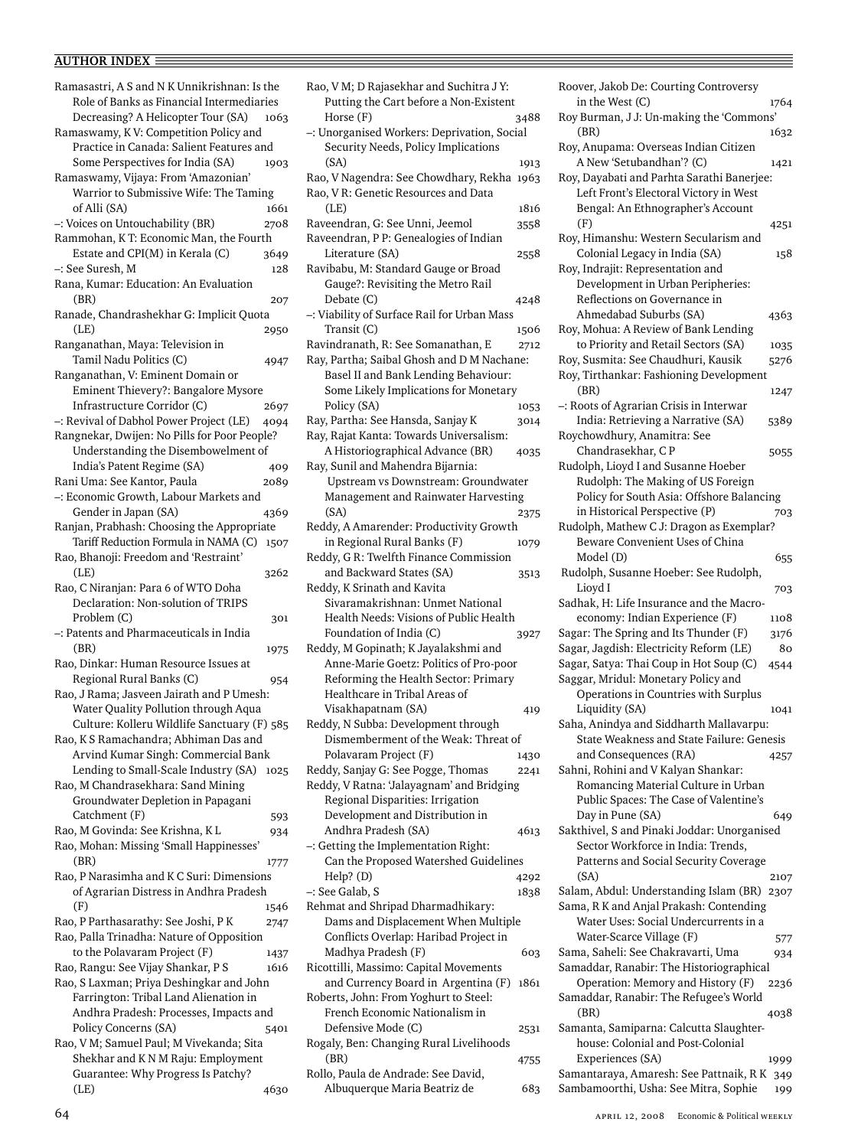Ramasastri, A S and N K Unnikrishnan: Is the Role of Banks as Financial Intermediaries Decreasing? A Helicopter Tour (SA) 1063 Ramaswamy, K V: Competition Policy and Practice in Canada: Salient Features and Some Perspectives for India (SA) 1903 Ramaswamy, Vijaya: From 'Amazonian' Warrior to Submissive Wife: The Taming of Alli (SA) 1661 –: Voices on Untouchability (BR) 2708 Rammohan, K T: Economic Man, the Fourth Estate and CPI(M) in Kerala (C) 3649 –: See Suresh, M 128 Rana, Kumar: Education: An Evaluation (BR) 207 Ranade, Chandrashekhar G: Implicit Quota (LE) 2950 Ranganathan, Maya: Television in Tamil Nadu Politics (C) 4947 Ranganathan, V: Eminent Domain or Eminent Thievery?: Bangalore Mysore Infrastructure Corridor (C) 2697 –: Revival of Dabhol Power Project (LE) 4094 Rangnekar, Dwijen: No Pills for Poor People? Understanding the Disembowelment of India's Patent Regime (SA) 409 Rani Uma: See Kantor, Paula 2089 –: Economic Growth, Labour Markets and Gender in Japan (SA) 4369 Ranjan, Prabhash: Choosing the Appropriate Tariff Reduction Formula in NAMA (C) 1507 Rao, Bhanoji: Freedom and 'Restraint' (LE) 3262 Rao, C Niranjan: Para 6 of WTO Doha Declaration: Non-solution of TRIPS Problem (C) 301 –: Patents and Pharmaceuticals in India (BR) 1975 Rao, Dinkar: Human Resource Issues at Regional Rural Banks (C) 954 Rao, J Rama; Jasveen Jairath and P Umesh: Water Quality Pollution through Aqua Culture: Kolleru Wildlife Sanctuary (F) 585 Rao, K S Ramachandra; Abhiman Das and Arvind Kumar Singh: Commercial Bank Lending to Small-Scale Industry (SA) 1025 Rao, M Chandrasekhara: Sand Mining Groundwater Depletion in Papagani Catchment (F) 593 Rao, M Govinda: See Krishna, K L 934 Rao, Mohan: Missing 'Small Happinesses' (BR) 1777 Rao, P Narasimha and K C Suri: Dimensions of Agrarian Distress in Andhra Pradesh (F) 1546 Rao, P Parthasarathy: See Joshi, P K 2747 Rao, Palla Trinadha: Nature of Opposition to the Polavaram Project (F) 1437 Rao, Rangu: See Vijay Shankar, P S 1616 Rao, S Laxman; Priya Deshingkar and John Farrington: Tribal Land Alienation in Andhra Pradesh: Processes, Impacts and Policy Concerns (SA) 5401 Rao, V M; Samuel Paul; M Vivekanda; Sita Shekhar and K N M Raju: Employment Guarantee: Why Progress Is Patchy? (LE) 4630

Rao, V M; D Rajasekhar and Suchitra J Y: Putting the Cart before a Non-Existent Horse (F) –: Unorganised Workers: Deprivation, Social Security Needs, Policy Implications (SA) 1913 Rao, V Nagendra: See Chowdhary, Rekha 1963 Rao, V R: Genetic Resources and Data (LE) 1816 Raveendran, G: See Unni, Jeemol 3558 Raveendran, P P: Genealogies of Indian Literature (SA) 2558 Ravibabu, M: Standard Gauge or Broad Gauge?: Revisiting the Metro Rail Debate (C) 4248 –: Viability of Surface Rail for Urban Mass Transit (C) 1506 Ravindranath, R: See Somanathan, E 2712 Ray, Partha; Saibal Ghosh and D M Nachane: Basel II and Bank Lending Behaviour: Some Likely Implications for Monetary Policy (SA) 1053 Ray, Partha: See Hansda, Sanjay K 3014 Ray, Rajat Kanta: Towards Universalism: A Historiographical Advance (BR) 4035 Ray, Sunil and Mahendra Bijarnia: Upstream vs Downstream: Groundwater Management and Rainwater Harvesting (SA) 2375 Reddy, A Amarender: Productivity Growth in Regional Rural Banks (F) 1079 Reddy, G R: Twelfth Finance Commission and Backward States (SA) 3513 Reddy, K Srinath and Kavita Sivaramakrishnan: Unmet National Health Needs: Visions of Public Health Foundation of India (C) 3927 Reddy, M Gopinath; K Jayalakshmi and Anne-Marie Goetz: Politics of Pro-poor Reforming the Health Sector: Primary Healthcare in Tribal Areas of Visakhapatnam (SA) 419 Reddy, N Subba: Development through Dismemberment of the Weak: Threat of Polavaram Project (F) 1430 Reddy, Sanjay G: See Pogge, Thomas 2241 Reddy, V Ratna: 'Jalayagnam' and Bridging Regional Disparities: Irrigation Development and Distribution in Andhra Pradesh (SA) 4613 –: Getting the Implementation Right: Can the Proposed Watershed Guidelines Help? (D) 4292  $-$ : See Galab, S 1838 Rehmat and Shripad Dharmadhikary: Dams and Displacement When Multiple Conflicts Overlap: Haribad Project in Madhya Pradesh (F) 603 Ricottilli, Massimo: Capital Movements and Currency Board in Argentina (F) 1861 Roberts, John: From Yoghurt to Steel: French Economic Nationalism in Defensive Mode (C) 2531 Rogaly, Ben: Changing Rural Livelihoods (BR) 4755 Rollo, Paula de Andrade: See David, Albuquerque Maria Beatriz de 683

Roover, Jakob De: Courting Controversy in the West  $(C)$  1764 Roy Burman, J J: Un-making the 'Commons' (BR) 1632 Roy, Anupama: Overseas Indian Citizen A New 'Setubandhan'? (C) 1421 Roy, Dayabati and Parhta Sarathi Banerjee: Left Front's Electoral Victory in West Bengal: An Ethnographer's Account (F) 4251 Roy, Himanshu: Western Secularism and Colonial Legacy in India (SA) 158 Roy, Indrajit: Representation and Development in Urban Peripheries: Reflections on Governance in Ahmedabad Suburbs (SA) 4363 Roy, Mohua: A Review of Bank Lending to Priority and Retail Sectors (SA) 1035 Roy, Susmita: See Chaudhuri, Kausik 5276 Roy, Tirthankar: Fashioning Development (BR) 1247 –: Roots of Agrarian Crisis in Interwar India: Retrieving a Narrative (SA) 5389 Roychowdhury, Anamitra: See Chandrasekhar, C P 5055 Rudolph, Lioyd I and Susanne Hoeber Rudolph: The Making of US Foreign Policy for South Asia: Offshore Balancing in Historical Perspective (P) 703 Rudolph, Mathew C J: Dragon as Exemplar? Beware Convenient Uses of China Model (D) 655 Rudolph, Susanne Hoeber: See Rudolph, Lioyd I 703 Sadhak, H: Life Insurance and the Macroeconomy: Indian Experience (F) 1108 Sagar: The Spring and Its Thunder (F) 3176 Sagar, Jagdish: Electricity Reform (LE) 80 Sagar, Satya: Thai Coup in Hot Soup (C) 4544 Saggar, Mridul: Monetary Policy and Operations in Countries with Surplus Liquidity (SA) 1041 Saha, Anindya and Siddharth Mallavarpu: State Weakness and State Failure: Genesis and Consequences (RA)  $4257$ Sahni, Rohini and V Kalyan Shankar: Romancing Material Culture in Urban Public Spaces: The Case of Valentine's Day in Pune (SA) 649 Sakthivel, S and Pinaki Joddar: Unorganised Sector Workforce in India: Trends, Patterns and Social Security Coverage (SA) 2107 Salam, Abdul: Understanding Islam (BR) 2307 Sama, R K and Anjal Prakash: Contending Water Uses: Social Undercurrents in a Water-Scarce Village (F) 577 Sama, Saheli: See Chakravarti, Uma 934 Samaddar, Ranabir: The Historiographical Operation: Memory and History (F) 2236 Samaddar, Ranabir: The Refugee's World (BR) 4038 Samanta, Samiparna: Calcutta Slaughterhouse: Colonial and Post-Colonial Experiences (SA) 1999 Samantaraya, Amaresh: See Pattnaik, R K 349

Sambamoorthi, Usha: See Mitra, Sophie 199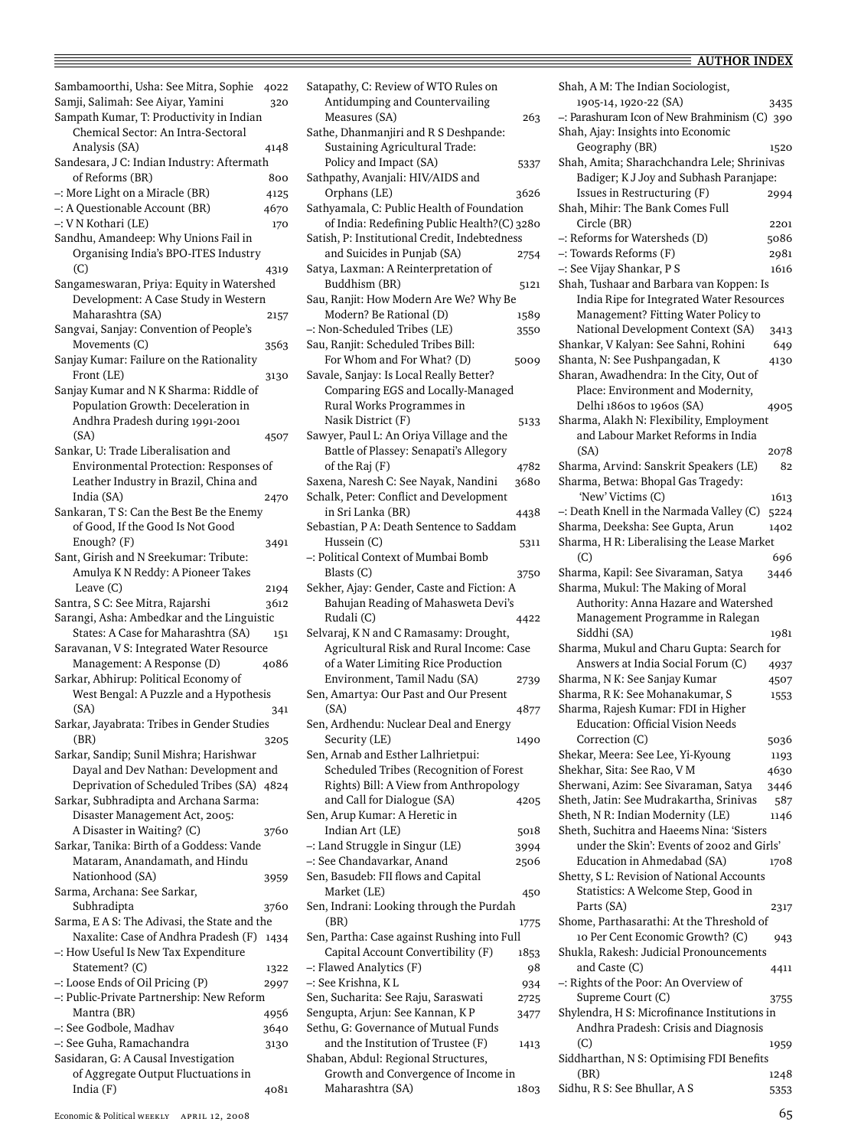#### **author index**<br>**author index**

Sambamoorthi, Usha: See Mitra, Sophie 4022 Samji, Salimah: See Aiyar, Yamini 320 Sampath Kumar, T: Productivity in Indian Chemical Sector: An Intra-Sectoral Analysis (SA) 4148 Sandesara, J C: Indian Industry: Aftermath of Reforms (BR) 800 –: More Light on a Miracle (BR) 4125 –: A Questionable Account (BR) 4670 –: V N Kothari (LE) 170 Sandhu, Amandeep: Why Unions Fail in Organising India's BPO-ITES Industry (C) 4319 Sangameswaran, Priya: Equity in Watershed Development: A Case Study in Western Maharashtra (SA) 2157 Sangvai, Sanjay: Convention of People's Movements (C) 3563 Sanjay Kumar: Failure on the Rationality Front (LE) 3130 Sanjay Kumar and N K Sharma: Riddle of Population Growth: Deceleration in Andhra Pradesh during 1991-2001 (SA) 4507 Sankar, U: Trade Liberalisation and Environmental Protection: Responses of Leather Industry in Brazil, China and India (SA) 2470 Sankaran, T S: Can the Best Be the Enemy of Good, If the Good Is Not Good Enough? (F) 3491 Sant, Girish and N Sreekumar: Tribute: Amulya K N Reddy: A Pioneer Takes Leave (C) 2194 Santra, S C: See Mitra, Rajarshi 3612 Sarangi, Asha: Ambedkar and the Linguistic States: A Case for Maharashtra (SA) 151 Saravanan, V S: Integrated Water Resource Management: A Response (D) 4086 Sarkar, Abhirup: Political Economy of West Bengal: A Puzzle and a Hypothesis  $(SA)$  341 Sarkar, Jayabrata: Tribes in Gender Studies (BR) 3205 Sarkar, Sandip; Sunil Mishra; Harishwar Dayal and Dev Nathan: Development and Deprivation of Scheduled Tribes (SA) 4824 Sarkar, Subhradipta and Archana Sarma: Disaster Management Act, 2005: A Disaster in Waiting? (C) 3760 Sarkar, Tanika: Birth of a Goddess: Vande Mataram, Anandamath, and Hindu Nationhood (SA) 3959 Sarma, Archana: See Sarkar, Subhradipta 3760 Sarma, E A S: The Adivasi, the State and the Naxalite: Case of Andhra Pradesh (F) 1434 –: How Useful Is New Tax Expenditure Statement? (C) 1322 –: Loose Ends of Oil Pricing (P) 2997 –: Public-Private Partnership: New Reform Mantra (BR) 4956 –: See Godbole, Madhav 3640 –: See Guha, Ramachandra 3130 Sasidaran, G: A Causal Investigation of Aggregate Output Fluctuations in India  $(F)$  4081

Satapathy, C: Review of WTO Rules on Antidumping and Countervailing Measures (SA) 263 Sathe, Dhanmanjiri and R S Deshpande: Sustaining Agricultural Trade: Policy and Impact (SA) 5337 Sathpathy, Avanjali: HIV/AIDS and Orphans (LE) 3626 Sathyamala, C: Public Health of Foundation of India: Redefining Public Health?(C) 3280 Satish, P: Institutional Credit, Indebtedness and Suicides in Punjab (SA) 2754 Satya, Laxman: A Reinterpretation of Buddhism (BR) 5121 Sau, Ranjit: How Modern Are We? Why Be Modern? Be Rational (D) 1589 –: Non-Scheduled Tribes (LE) 3550 Sau, Ranjit: Scheduled Tribes Bill: For Whom and For What? (D) 5009 Savale, Sanjay: Is Local Really Better? Comparing EGS and Locally-Managed Rural Works Programmes in Nasik District (F) 5133 Sawyer, Paul L: An Oriya Village and the Battle of Plassey: Senapati's Allegory of the Raj  $(F)$  4782 Saxena, Naresh C: See Nayak, Nandini 3680 Schalk, Peter: Conflict and Development in Sri Lanka (BR) 4438 Sebastian, P A: Death Sentence to Saddam Hussein (C) 5311 –: Political Context of Mumbai Bomb  $Blasts (C)$  3750 Sekher, Ajay: Gender, Caste and Fiction: A Bahujan Reading of Mahasweta Devi's Rudali (C) 4422 Selvaraj, K N and C Ramasamy: Drought, Agricultural Risk and Rural Income: Case of a Water Limiting Rice Production Environment, Tamil Nadu (SA) 2739 Sen, Amartya: Our Past and Our Present (SA) 4877 Sen, Ardhendu: Nuclear Deal and Energy Security (LE) 1490 Sen, Arnab and Esther Lalhrietpui: Scheduled Tribes (Recognition of Forest Rights) Bill: A View from Anthropology and Call for Dialogue (SA) 4205 Sen, Arup Kumar: A Heretic in Indian Art (LE) 5018 –: Land Struggle in Singur (LE) 3994 –: See Chandavarkar, Anand 2506 Sen, Basudeb: FII flows and Capital Market (LE) 450 Sen, Indrani: Looking through the Purdah (BR) 1775 Sen, Partha: Case against Rushing into Full Capital Account Convertibility (F) 1853 –: Flawed Analytics (F) 98 –: See Krishna, K L 934 Sen, Sucharita: See Raju, Saraswati 2725 Sengupta, Arjun: See Kannan, K P 3477 Sethu, G: Governance of Mutual Funds and the Institution of Trustee (F) 1413 Shaban, Abdul: Regional Structures, Growth and Convergence of Income in Maharashtra (SA) 1803

Shah, A M: The Indian Sociologist, 1905-14, 1920-22 (SA) 3435 –: Parashuram Icon of New Brahminism (C) 390 Shah, Ajay: Insights into Economic Geography (BR) 1520 Shah, Amita; Sharachchandra Lele; Shrinivas Badiger; K J Joy and Subhash Paranjape: Issues in Restructuring (F) 2994 Shah, Mihir: The Bank Comes Full Circle (BR) 2201 –: Reforms for Watersheds (D) 5086 –: Towards Reforms (F) 2981 –: See Vijay Shankar, P S 1616 Shah, Tushaar and Barbara van Koppen: Is India Ripe for Integrated Water Resources Management? Fitting Water Policy to National Development Context (SA) 3413 Shankar, V Kalyan: See Sahni, Rohini 649 Shanta, N: See Pushpangadan, K 4130 Sharan, Awadhendra: In the City, Out of Place: Environment and Modernity, Delhi 1860s to 1960s (SA) 4905 Sharma, Alakh N: Flexibility, Employment and Labour Market Reforms in India (SA) 2078 Sharma, Arvind: Sanskrit Speakers (LE) 82 Sharma, Betwa: Bhopal Gas Tragedy: 'New' Victims (C) 1613 –: Death Knell in the Narmada Valley (C) 5224 Sharma, Deeksha: See Gupta, Arun 1402 Sharma, H R: Liberalising the Lease Market  $(C)$  696 Sharma, Kapil: See Sivaraman, Satya 3446 Sharma, Mukul: The Making of Moral Authority: Anna Hazare and Watershed Management Programme in Ralegan Siddhi (SA) 1981 Sharma, Mukul and Charu Gupta: Search for Answers at India Social Forum (C) 4937 Sharma, N K: See Sanjay Kumar 4507 Sharma, R K: See Mohanakumar, S 1553 Sharma, Rajesh Kumar: FDI in Higher Education: Official Vision Needs Correction (C) 5036 Shekar, Meera: See Lee, Yi-Kyoung 1193 Shekhar, Sita: See Rao, V M 4630 Sherwani, Azim: See Sivaraman, Satya 3446 Sheth, Jatin: See Mudrakartha, Srinivas 587 Sheth, N R: Indian Modernity (LE) 1146 Sheth, Suchitra and Haeems Nina: 'Sisters under the Skin': Events of 2002 and Girls' Education in Ahmedabad (SA) 1708 Shetty, S L: Revision of National Accounts Statistics: A Welcome Step, Good in Parts (SA) 2317 Shome, Parthasarathi: At the Threshold of 10 Per Cent Economic Growth? (C) 943 Shukla, Rakesh: Judicial Pronouncements and Caste (C) 4411 –: Rights of the Poor: An Overview of Supreme Court (C) 3755 Shylendra, H S: Microfinance Institutions in Andhra Pradesh: Crisis and Diagnosis  $1959$ Siddharthan, N S: Optimising FDI Benefits (BR) 1248 Sidhu, R S: See Bhullar, A S 5353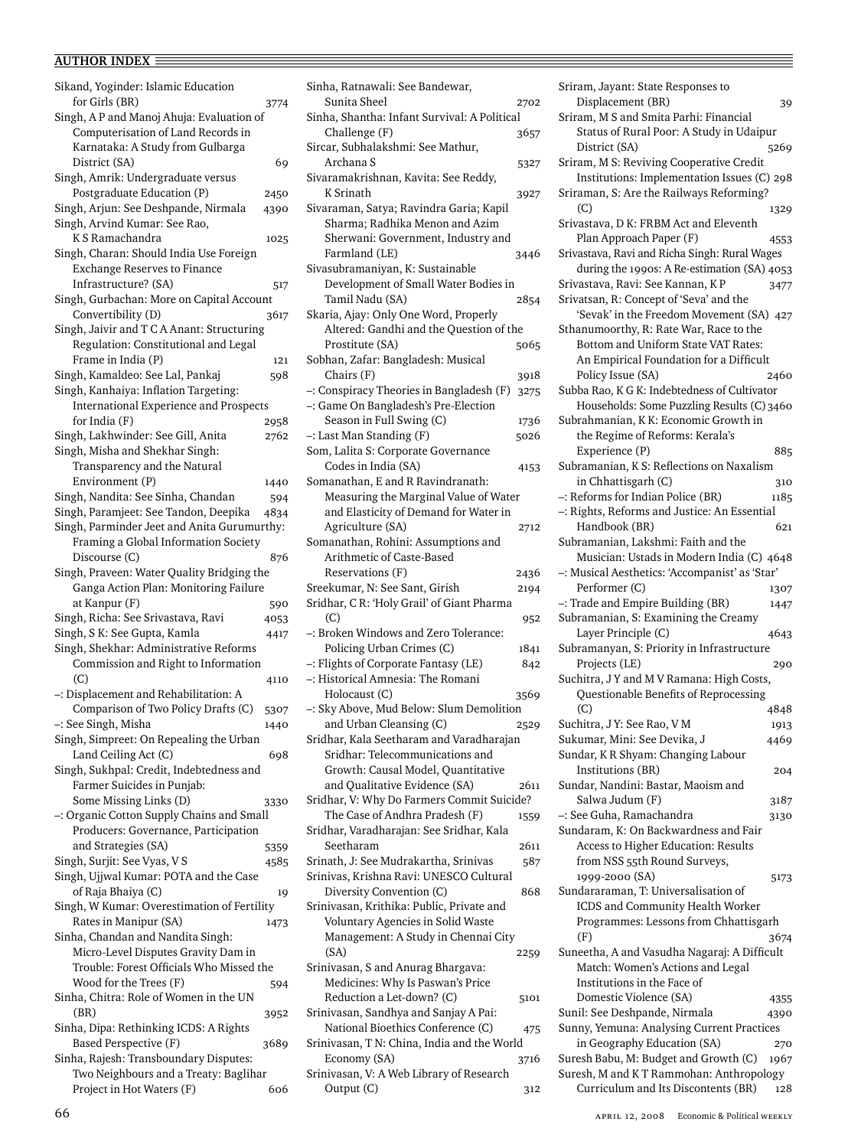| Sikand, Yoginder: Islamic Education                                |      |
|--------------------------------------------------------------------|------|
| for Girls (BR)                                                     | 3774 |
| Singh, AP and Manoj Ahuja: Evaluation of                           |      |
| Computerisation of Land Records in                                 |      |
| Karnataka: A Study from Gulbarga                                   |      |
| District (SA)                                                      | 69   |
| Singh, Amrik: Undergraduate versus                                 |      |
| Postgraduate Education (P)                                         | 2450 |
| Singh, Arjun: See Deshpande, Nirmala                               | 4390 |
| Singh, Arvind Kumar: See Rao,                                      |      |
| K S Ramachandra                                                    | 1025 |
| Singh, Charan: Should India Use Foreign                            |      |
| <b>Exchange Reserves to Finance</b>                                |      |
| Infrastructure? (SA)                                               | 517  |
| Singh, Gurbachan: More on Capital Account<br>Convertibility (D)    |      |
| Singh, Jaivir and T C A Anant: Structuring                         | 3617 |
| Regulation: Constitutional and Legal                               |      |
| Frame in India (P)                                                 | 121  |
| Singh, Kamaldeo: See Lal, Pankaj                                   | 598  |
| Singh, Kanhaiya: Inflation Targeting:                              |      |
| <b>International Experience and Prospects</b>                      |      |
| for India (F)                                                      | 2958 |
| Singh, Lakhwinder: See Gill, Anita                                 | 2762 |
| Singh, Misha and Shekhar Singh:                                    |      |
| Transparency and the Natural                                       |      |
| Environment (P)                                                    | 1440 |
| Singh, Nandita: See Sinha, Chandan                                 | 594  |
| Singh, Paramjeet: See Tandon, Deepika                              | 4834 |
| Singh, Parminder Jeet and Anita Gurumurthy:                        |      |
| Framing a Global Information Society                               |      |
| Discourse (C)                                                      | 876  |
| Singh, Praveen: Water Quality Bridging the                         |      |
| Ganga Action Plan: Monitoring Failure                              |      |
| at Kanpur (F)<br>Singh, Richa: See Srivastava, Ravi                | 590  |
| Singh, S K: See Gupta, Kamla                                       | 4053 |
| Singh, Shekhar: Administrative Reforms                             | 4417 |
| Commission and Right to Information                                |      |
| (C)                                                                | 4110 |
| -: Displacement and Rehabilitation: A                              |      |
| Comparison of Two Policy Drafts (C)                                | 5307 |
| -: See Singh, Misha                                                | 1440 |
| Singh, Simpreet: On Repealing the Urban                            |      |
| Land Ceiling Act (C)                                               |      |
|                                                                    | 698  |
| Singh, Sukhpal: Credit, Indebtedness and                           |      |
| Farmer Suicides in Punjab:                                         |      |
| Some Missing Links (D)                                             | 3330 |
| -: Organic Cotton Supply Chains and Small                          |      |
| Producers: Governance, Participation                               |      |
| and Strategies (SA)                                                | 5359 |
| Singh, Surjit: See Vyas, V S                                       | 4585 |
| Singh, Ujjwal Kumar: POTA and the Case                             |      |
| of Raja Bhaiya (C)                                                 | 19   |
| Singh, W Kumar: Overestimation of Fertility                        |      |
| Rates in Manipur (SA)                                              | 1473 |
| Sinha, Chandan and Nandita Singh:                                  |      |
| Micro-Level Disputes Gravity Dam in                                |      |
| Trouble: Forest Officials Who Missed the                           |      |
| Wood for the Trees (F)                                             | 594  |
| Sinha, Chitra: Role of Women in the UN<br>(BR)                     |      |
| Sinha, Dipa: Rethinking ICDS: A Rights                             | 3952 |
| Based Perspective (F)                                              | 3689 |
| Sinha, Rajesh: Transboundary Disputes:                             |      |
| Two Neighbours and a Treaty: Baglihar<br>Project in Hot Waters (F) | 606  |

| Sinha, Ratnawali: See Bandewar,                          |      |
|----------------------------------------------------------|------|
| Sunita Sheel                                             | 2702 |
| Sinha, Shantha: Infant Survival: A Political             |      |
| Challenge (F)                                            | 3657 |
| Sircar, Subhalakshmi: See Mathur,                        |      |
| Archana S                                                | 5327 |
| Sivaramakrishnan, Kavita: See Reddy,                     |      |
| K Srinath                                                | 3927 |
| Sivaraman, Satya; Ravindra Garia; Kapil                  |      |
| Sharma; Radhika Menon and Azim                           |      |
| Sherwani: Government, Industry and                       |      |
| Farmland (LE)                                            | 3446 |
| Sivasubramaniyan, K: Sustainable                         |      |
| Development of Small Water Bodies in                     |      |
| Tamil Nadu (SA)                                          | 2854 |
| Skaria, Ajay: Only One Word, Properly                    |      |
| Altered: Gandhi and the Question of the                  |      |
| Prostitute (SA)                                          | 5065 |
| Sobhan, Zafar: Bangladesh: Musical                       |      |
|                                                          |      |
| Chairs (F)                                               | 3918 |
| -: Conspiracy Theories in Bangladesh (F)                 | 3275 |
| -: Game On Bangladesh's Pre-Election                     |      |
| Season in Full Swing (C)                                 | 1736 |
| -: Last Man Standing (F)                                 | 5026 |
| Som, Lalita S: Corporate Governance                      |      |
| Codes in India (SA)                                      | 4153 |
| Somanathan, E and R Ravindranath:                        |      |
| Measuring the Marginal Value of Water                    |      |
| and Elasticity of Demand for Water in                    |      |
| Agriculture (SA)                                         | 2712 |
| Somanathan, Rohini: Assumptions and                      |      |
| Arithmetic of Caste-Based                                |      |
|                                                          |      |
| Reservations (F)                                         | 2436 |
| Sreekumar, N: See Sant, Girish                           | 2194 |
| Sridhar, CR: 'Holy Grail' of Giant Pharma                |      |
| (C)                                                      | 952  |
| -: Broken Windows and Zero Tolerance:                    |      |
| Policing Urban Crimes (C)                                | 1841 |
| -: Flights of Corporate Fantasy (LE)                     | 842  |
| -: Historical Amnesia: The Romani                        |      |
| Holocaust (C)                                            | 3569 |
|                                                          |      |
| -: Sky Above, Mud Below: Slum Demolition                 | 2529 |
| and Urban Cleansing (C)                                  |      |
| Sridhar, Kala Seetharam and Varadharajan                 |      |
| Sridhar: Telecommunications and                          |      |
| Growth: Causal Model, Quantitative                       |      |
| and Qualitative Evidence (SA)                            | 2611 |
| Sridhar, V: Why Do Farmers Commit Suicide?               |      |
| The Case of Andhra Pradesh (F)                           | 1559 |
| Sridhar, Varadharajan: See Sridhar, Kala                 |      |
| Seetharam                                                | 2611 |
| Srinath, J: See Mudrakartha, Srinivas                    | 587  |
| Srinivas, Krishna Ravi: UNESCO Cultural                  |      |
| Diversity Convention (C)                                 | 868  |
| Srinivasan, Krithika: Public, Private and                |      |
| Voluntary Agencies in Solid Waste                        |      |
| Management: A Study in Chennai City                      |      |
| (SA)                                                     | 2259 |
| Srinivasan, S and Anurag Bhargava:                       |      |
| Medicines: Why Is Paswan's Price                         |      |
| Reduction a Let-down? (C)                                | 5101 |
| Srinivasan, Sandhya and Sanjay A Pai:                    |      |
| National Bioethics Conference (C)                        | 475  |
| Srinivasan, T N: China, India and the World              |      |
| Economy (SA)<br>Sriniyasan, V: A Web Library of Research | 3716 |

Output (C) 312

Sriram, M S and Smita Parhi: Financial Status of Rural Poor: A Study in Udaipur District (SA) 5269 Sriram, M S: Reviving Cooperative Credit Institutions: Implementation Issues (C) 298 Sriraman, S: Are the Railways Reforming? (C) 1329 Srivastava, D K: FRBM Act and Eleventh Plan Approach Paper (F) 4553 Srivastava, Ravi and Richa Singh: Rural Wages during the 1990s: A Re-estimation (SA) 4053 Srivastava, Ravi: See Kannan, K P 3477 Srivatsan, R: Concept of 'Seva' and the 'Sevak' in the Freedom Movement (SA) 427 Sthanumoorthy, R: Rate War, Race to the Bottom and Uniform State VAT Rates: An Empirical Foundation for a Difficult Policy Issue (SA) 2460 Subba Rao, K G K: Indebtedness of Cultivator Households: Some Puzzling Results (C) 3460 Subrahmanian, K K: Economic Growth in the Regime of Reforms: Kerala's Experience (P) 885 Subramanian, K S: Reflections on Naxalism in Chhattisgarh (C) 310 –: Reforms for Indian Police (BR) 1185 –: Rights, Reforms and Justice: An Essential Handbook (BR) 621 Subramanian, Lakshmi: Faith and the Musician: Ustads in Modern India (C) 4648 –: Musical Aesthetics: 'Accompanist' as 'Star' Performer (C) 1307 –: Trade and Empire Building (BR) 1447 Subramanian, S: Examining the Creamy Layer Principle (C) 4643 Subramanyan, S: Priority in Infrastructure Projects (LE) 290 Suchitra, J Y and M V Ramana: High Costs, Questionable Benefits of Reprocessing (C) 4848 Suchitra, J Y: See Rao, V M 1913 Sukumar, Mini: See Devika, J 4469 Sundar, K R Shyam: Changing Labour Institutions (BR) 204 Sundar, Nandini: Bastar, Maoism and Salwa Judum (F) 3187 –: See Guha, Ramachandra 3130 Sundaram, K: On Backwardness and Fair Access to Higher Education: Results from NSS 55th Round Surveys, 1999-2000 (SA) 5173 Sundararaman, T: Universalisation of ICDS and Community Health Worker Programmes: Lessons from Chhattisgarh  $(F)$  3674 Suneetha, A and Vasudha Nagaraj: A Difficult Match: Women's Actions and Legal Institutions in the Face of Domestic Violence (SA) 4355 Sunil: See Deshpande, Nirmala 4390 Sunny, Yemuna: Analysing Current Practices in Geography Education (SA) 270 Suresh Babu, M: Budget and Growth (C) 1967 Suresh, M and K T Rammohan: Anthropology

Sriram, Jayant: State Responses to

Displacement (BR) 39